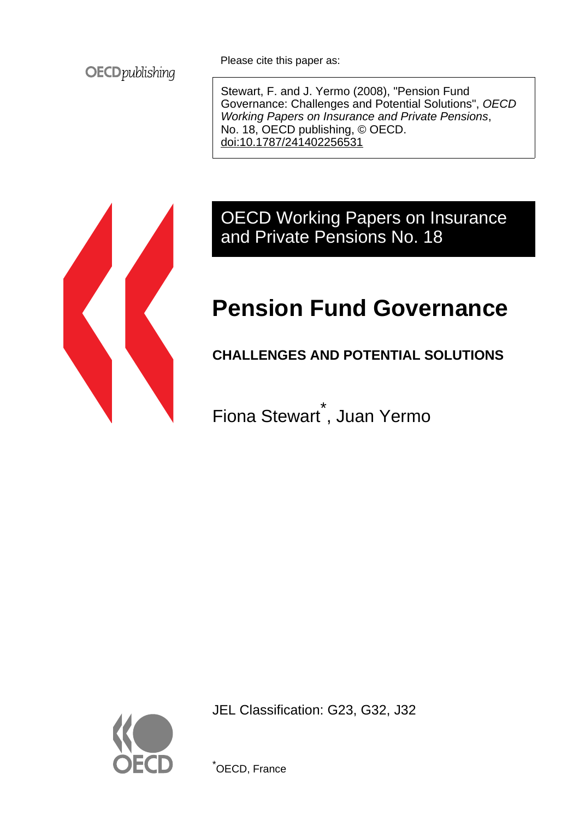**OECD** publishing

Please cite this paper as:

Stewart, F. and J. Yermo (2008), "Pension Fund Governance: Challenges and Potential Solutions", OECD Working Papers on Insurance and Private Pensions, No. 18, OECD publishing, © OECD. [doi:10.1787/241402256531](http://dx.doi.org/10.1787/241402256531)



# OECD Working Papers on Insurance and Private Pensions No. 18

# **Pension Fund Governance**

# **CHALLENGES AND POTENTIAL SOLUTIONS**

Fiona Stewart<sup>\*</sup>, Juan Yermo



JEL Classification: G23, G32, J32

\*OECD, France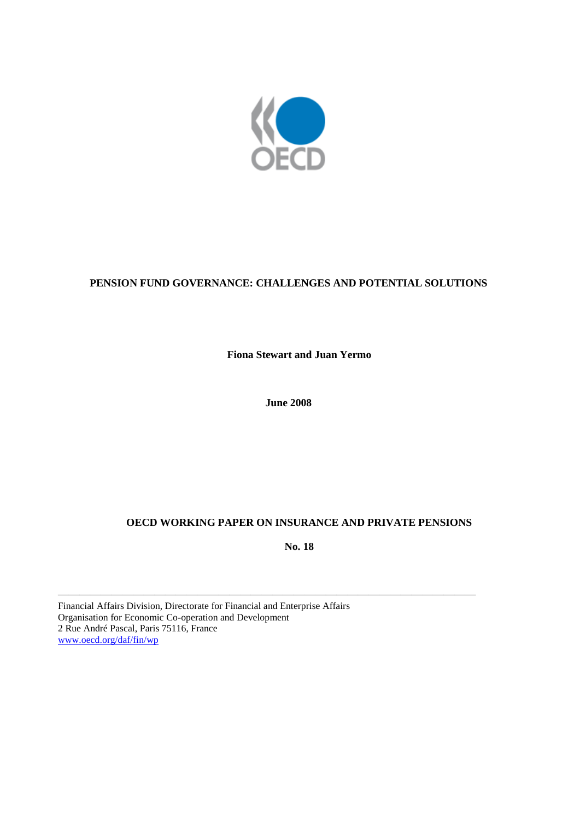

# **PENSION FUND GOVERNANCE: CHALLENGES AND POTENTIAL SOLUTIONS**

**Fiona Stewart and Juan Yermo**

**June 2008**

# **OECD WORKING PAPER ON INSURANCE AND PRIVATE PENSIONS**

**No. 18**

———————————————————————————————————————

Financial Affairs Division, Directorate for Financial and Enterprise Affairs Organisation for Economic Co-operation and Development 2 Rue André Pascal, Paris 75116, France [www.oecd.org/daf/fin/wp](http://www.oecd.org/daf/fin/wp)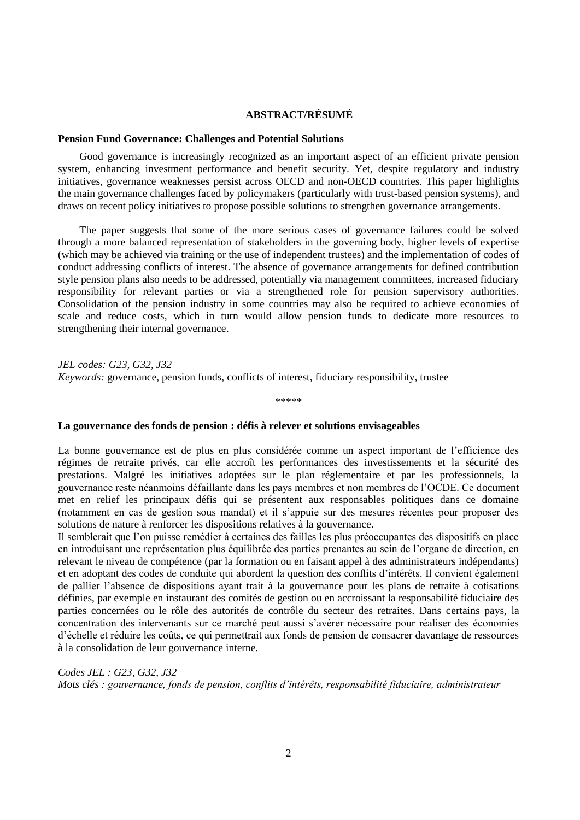# **ABSTRACT/RÉSUMÉ**

#### **Pension Fund Governance: Challenges and Potential Solutions**

Good governance is increasingly recognized as an important aspect of an efficient private pension system, enhancing investment performance and benefit security. Yet, despite regulatory and industry initiatives, governance weaknesses persist across OECD and non-OECD countries. This paper highlights the main governance challenges faced by policymakers (particularly with trust-based pension systems), and draws on recent policy initiatives to propose possible solutions to strengthen governance arrangements.

The paper suggests that some of the more serious cases of governance failures could be solved through a more balanced representation of stakeholders in the governing body, higher levels of expertise (which may be achieved via training or the use of independent trustees) and the implementation of codes of conduct addressing conflicts of interest. The absence of governance arrangements for defined contribution style pension plans also needs to be addressed, potentially via management committees, increased fiduciary responsibility for relevant parties or via a strengthened role for pension supervisory authorities. Consolidation of the pension industry in some countries may also be required to achieve economies of scale and reduce costs, which in turn would allow pension funds to dedicate more resources to strengthening their internal governance.

*JEL codes: G23, G32, J32 Keywords:* governance, pension funds, conflicts of interest, fiduciary responsibility, trustee

\*\*\*\*\*

#### **La gouvernance des fonds de pension : défis à relever et solutions envisageables**

La bonne gouvernance est de plus en plus considérée comme un aspect important de l'efficience des régimes de retraite privés, car elle accroît les performances des investissements et la sécurité des prestations. Malgré les initiatives adoptées sur le plan réglementaire et par les professionnels, la gouvernance reste néanmoins défaillante dans les pays membres et non membres de l'OCDE. Ce document met en relief les principaux défis qui se présentent aux responsables politiques dans ce domaine (notamment en cas de gestion sous mandat) et il s'appuie sur des mesures récentes pour proposer des solutions de nature à renforcer les dispositions relatives à la gouvernance.

Il semblerait que l'on puisse remédier à certaines des failles les plus préoccupantes des dispositifs en place en introduisant une représentation plus équilibrée des parties prenantes au sein de l'organe de direction, en relevant le niveau de compétence (par la formation ou en faisant appel à des administrateurs indépendants) et en adoptant des codes de conduite qui abordent la question des conflits d'intérêts. Il convient également de pallier l'absence de dispositions ayant trait à la gouvernance pour les plans de retraite à cotisations définies, par exemple en instaurant des comités de gestion ou en accroissant la responsabilité fiduciaire des parties concernées ou le rôle des autorités de contrôle du secteur des retraites. Dans certains pays, la concentration des intervenants sur ce marché peut aussi s'avérer nécessaire pour réaliser des économies d'échelle et réduire les coûts, ce qui permettrait aux fonds de pension de consacrer davantage de ressources à la consolidation de leur gouvernance interne*.* 

*Codes JEL : G23, G32, J32 Mots clés : gouvernance, fonds de pension, conflits d'intérêts, responsabilité fiduciaire, administrateur*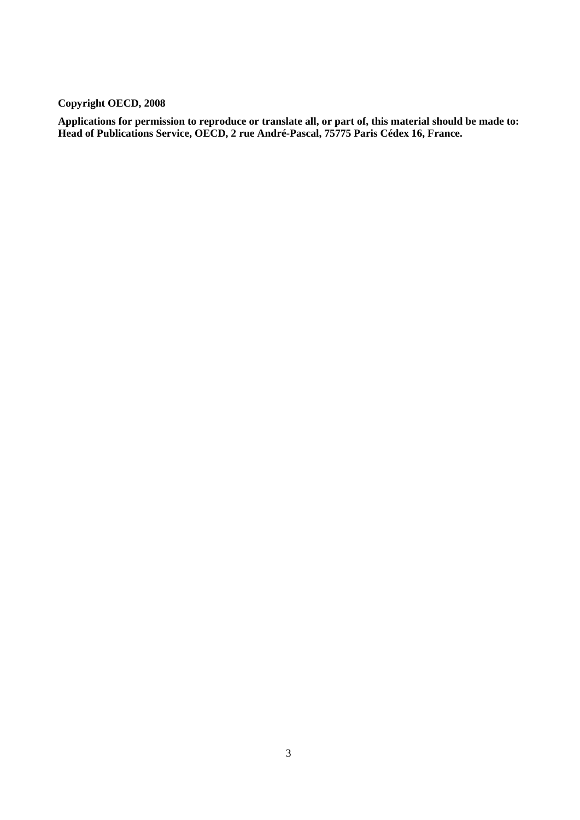**Copyright OECD, 2008**

**Applications for permission to reproduce or translate all, or part of, this material should be made to: Head of Publications Service, OECD, 2 rue André-Pascal, 75775 Paris Cédex 16, France.**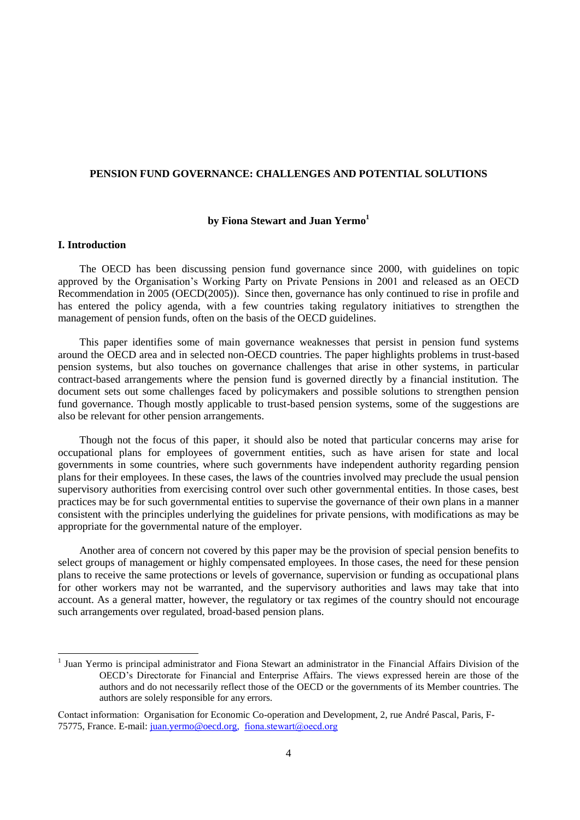#### **PENSION FUND GOVERNANCE: CHALLENGES AND POTENTIAL SOLUTIONS**

# **by Fiona Stewart and Juan Yermo 1**

#### **I. Introduction**

The OECD has been discussing pension fund governance since 2000, with guidelines on topic approved by the Organisation's Working Party on Private Pensions in 2001 and released as an OECD Recommendation in 2005 (OECD(2005)). Since then, governance has only continued to rise in profile and has entered the policy agenda, with a few countries taking regulatory initiatives to strengthen the management of pension funds, often on the basis of the OECD guidelines.

This paper identifies some of main governance weaknesses that persist in pension fund systems around the OECD area and in selected non-OECD countries. The paper highlights problems in trust-based pension systems, but also touches on governance challenges that arise in other systems, in particular contract-based arrangements where the pension fund is governed directly by a financial institution. The document sets out some challenges faced by policymakers and possible solutions to strengthen pension fund governance. Though mostly applicable to trust-based pension systems, some of the suggestions are also be relevant for other pension arrangements.

Though not the focus of this paper, it should also be noted that particular concerns may arise for occupational plans for employees of government entities, such as have arisen for state and local governments in some countries, where such governments have independent authority regarding pension plans for their employees. In these cases, the laws of the countries involved may preclude the usual pension supervisory authorities from exercising control over such other governmental entities. In those cases, best practices may be for such governmental entities to supervise the governance of their own plans in a manner consistent with the principles underlying the guidelines for private pensions, with modifications as may be appropriate for the governmental nature of the employer.

Another area of concern not covered by this paper may be the provision of special pension benefits to select groups of management or highly compensated employees. In those cases, the need for these pension plans to receive the same protections or levels of governance, supervision or funding as occupational plans for other workers may not be warranted, and the supervisory authorities and laws may take that into account. As a general matter, however, the regulatory or tax regimes of the country should not encourage such arrangements over regulated, broad-based pension plans.

<sup>&</sup>lt;sup>1</sup> Juan Yermo is principal administrator and Fiona Stewart an administrator in the Financial Affairs Division of the OECD's Directorate for Financial and Enterprise Affairs. The views expressed herein are those of the authors and do not necessarily reflect those of the OECD or the governments of its Member countries. The authors are solely responsible for any errors.

Contact information: Organisation for Economic Co-operation and Development, 2, rue André Pascal, Paris, F75775, France. E-mail: [juan.yermo@oecd.org,](mailto:juan.yermo@oecd.org) [fiona.stewart@oecd.org](mailto:fiona.stewart@oecd.org)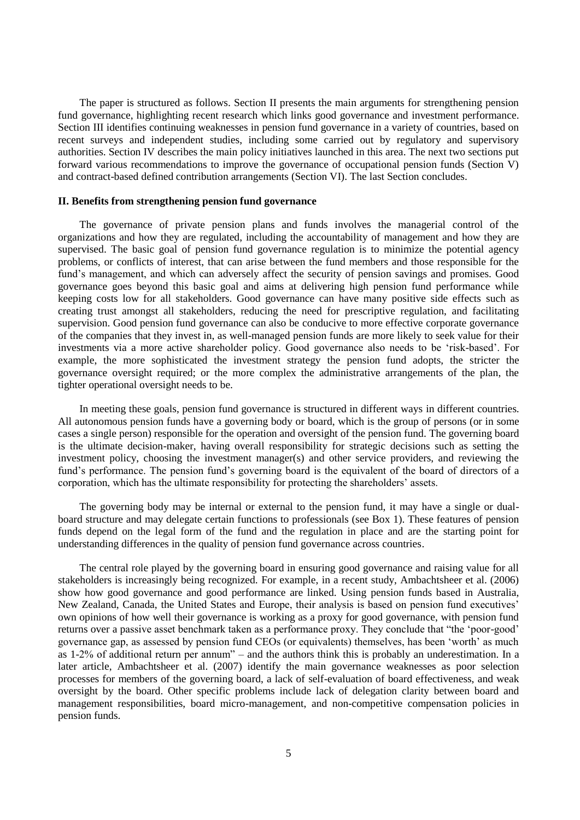The paper is structured as follows. Section II presents the main arguments for strengthening pension fund governance, highlighting recent research which links good governance and investment performance. Section III identifies continuing weaknesses in pension fund governance in a variety of countries, based on recent surveys and independent studies, including some carried out by regulatory and supervisory authorities. Section IV describes the main policy initiatives launched in this area. The next two sections put forward various recommendations to improve the governance of occupational pension funds (Section V) and contract-based defined contribution arrangements (Section VI). The last Section concludes.

#### **II. Benefits from strengthening pension fund governance**

The governance of private pension plans and funds involves the managerial control of the organizations and how they are regulated, including the accountability of management and how they are supervised. The basic goal of pension fund governance regulation is to minimize the potential agency problems, or conflicts of interest, that can arise between the fund members and those responsible for the fund's management, and which can adversely affect the security of pension savings and promises. Good governance goes beyond this basic goal and aims at delivering high pension fund performance while keeping costs low for all stakeholders. Good governance can have many positive side effects such as creating trust amongst all stakeholders, reducing the need for prescriptive regulation, and facilitating supervision. Good pension fund governance can also be conducive to more effective corporate governance of the companies that they invest in, as well-managed pension funds are more likely to seek value for their investments via a more active shareholder policy. Good governance also needs to be 'risk-based'. For example, the more sophisticated the investment strategy the pension fund adopts, the stricter the governance oversight required; or the more complex the administrative arrangements of the plan, the tighter operational oversight needs to be.

In meeting these goals, pension fund governance is structured in different ways in different countries. All autonomous pension funds have a governing body or board, which is the group of persons (or in some cases a single person) responsible for the operation and oversight of the pension fund. The governing board is the ultimate decision-maker, having overall responsibility for strategic decisions such as setting the investment policy, choosing the investment manager(s) and other service providers, and reviewing the fund's performance. The pension fund's governing board is the equivalent of the board of directors of a corporation, which has the ultimate responsibility for protecting the shareholders' assets.

The governing body may be internal or external to the pension fund, it may have a single or dualboard structure and may delegate certain functions to professionals (see Box 1). These features of pension funds depend on the legal form of the fund and the regulation in place and are the starting point for understanding differences in the quality of pension fund governance across countries.

The central role played by the governing board in ensuring good governance and raising value for all stakeholders is increasingly being recognized. For example, in a recent study, Ambachtsheer et al. (2006) show how good governance and good performance are linked. Using pension funds based in Australia, New Zealand, Canada, the United States and Europe, their analysis is based on pension fund executives' own opinions of how well their governance is working as a proxy for good governance, with pension fund returns over a passive asset benchmark taken as a performance proxy. They conclude that "the 'poor-good' governance gap, as assessed by pension fund CEOs (or equivalents) themselves, has been 'worth' as much as  $1-2%$  of additional return per annum" – and the authors think this is probably an underestimation. In a later article, Ambachtsheer et al. (2007) identify the main governance weaknesses as poor selection processes for members of the governing board, a lack of self-evaluation of board effectiveness, and weak oversight by the board. Other specific problems include lack of delegation clarity between board and management responsibilities, board micro-management, and non-competitive compensation policies in pension funds.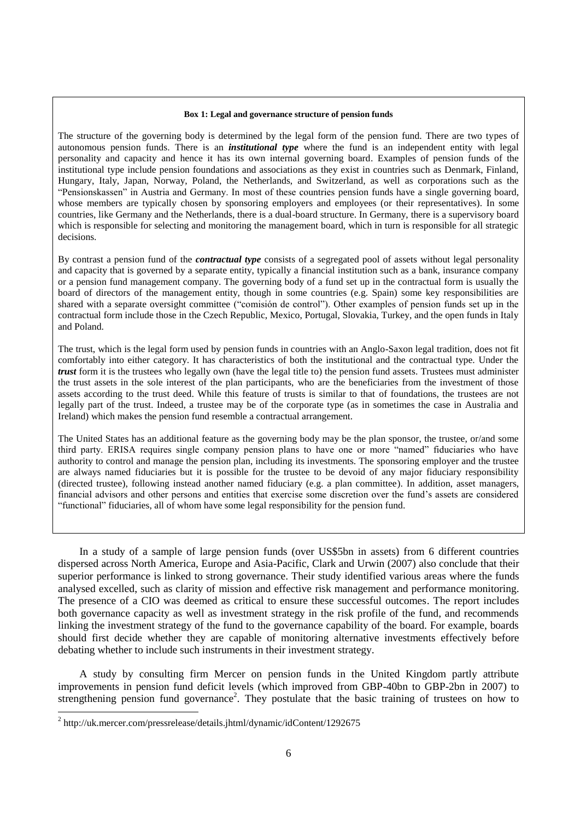# **Box 1: Legal and governance structure of pension funds**

The structure of the governing body is determined by the legal form of the pension fund. There are two types of autonomous pension funds. There is an *institutional type* where the fund is an independent entity with legal personality and capacity and hence it has its own internal governing board. Examples of pension funds of the institutional type include pension foundations and associations as they exist in countries such as Denmark, Finland, Hungary, Italy, Japan, Norway, Poland, the Netherlands, and Switzerland, as well as corporations such as the ―Pensionskassen‖ in Austria and Germany. In most of these countries pension funds have a single governing board, whose members are typically chosen by sponsoring employers and employees (or their representatives). In some countries, like Germany and the Netherlands, there is a dual-board structure. In Germany, there is a supervisory board which is responsible for selecting and monitoring the management board, which in turn is responsible for all strategic decisions.

By contrast a pension fund of the *contractual type* consists of a segregated pool of assets without legal personality and capacity that is governed by a separate entity, typically a financial institution such as a bank, insurance company or a pension fund management company. The governing body of a fund set up in the contractual form is usually the board of directors of the management entity, though in some countries (e.g. Spain) some key responsibilities are shared with a separate oversight committee ("comisión de control"). Other examples of pension funds set up in the contractual form include those in the Czech Republic, Mexico, Portugal, Slovakia, Turkey, and the open funds in Italy and Poland.

The trust, which is the legal form used by pension funds in countries with an Anglo-Saxon legal tradition, does not fit comfortably into either category. It has characteristics of both the institutional and the contractual type. Under the *trust* form it is the trustees who legally own (have the legal title to) the pension fund assets. Trustees must administer the trust assets in the sole interest of the plan participants, who are the beneficiaries from the investment of those assets according to the trust deed. While this feature of trusts is similar to that of foundations, the trustees are not legally part of the trust. Indeed, a trustee may be of the corporate type (as in sometimes the case in Australia and Ireland) which makes the pension fund resemble a contractual arrangement.

The United States has an additional feature as the governing body may be the plan sponsor, the trustee, or/and some third party. ERISA requires single company pension plans to have one or more "named" fiduciaries who have authority to control and manage the pension plan, including its investments. The sponsoring employer and the trustee are always named fiduciaries but it is possible for the trustee to be devoid of any major fiduciary responsibility (directed trustee), following instead another named fiduciary (e.g. a plan committee). In addition, asset managers, financial advisors and other persons and entities that exercise some discretion over the fund's assets are considered ―functional‖ fiduciaries, all of whom have some legal responsibility for the pension fund.

In a study of a sample of large pension funds (over US\$5bn in assets) from 6 different countries dispersed across North America, Europe and Asia-Pacific, Clark and Urwin (2007) also conclude that their superior performance is linked to strong governance. Their study identified various areas where the funds analysed excelled, such as clarity of mission and effective risk management and performance monitoring. The presence of a CIO was deemed as critical to ensure these successful outcomes. The report includes both governance capacity as well as investment strategy in the risk profile of the fund, and recommends linking the investment strategy of the fund to the governance capability of the board. For example, boards should first decide whether they are capable of monitoring alternative investments effectively before debating whether to include such instruments in their investment strategy.

A study by consulting firm Mercer on pension funds in the United Kingdom partly attribute improvements in pension fund deficit levels (which improved from GBP-40bn to GBP-2bn in 2007) to strengthening pension fund governance<sup>2</sup>. They postulate that the basic training of trustees on how to

 2 http://uk.mercer.com/pressrelease/details.jhtml/dynamic/idContent/1292675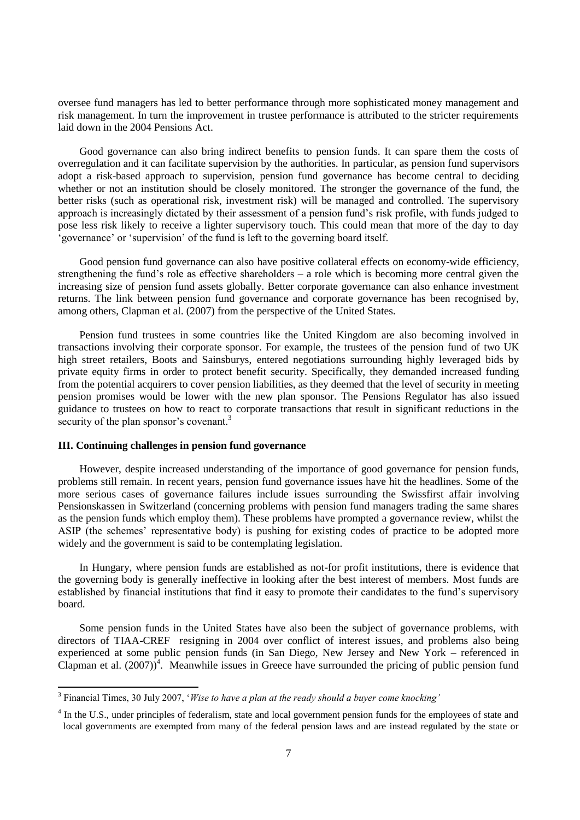oversee fund managers has led to better performance through more sophisticated money management and risk management. In turn the improvement in trustee performance is attributed to the stricter requirements laid down in the 2004 Pensions Act.

Good governance can also bring indirect benefits to pension funds. It can spare them the costs of overregulation and it can facilitate supervision by the authorities. In particular, as pension fund supervisors adopt a risk-based approach to supervision, pension fund governance has become central to deciding whether or not an institution should be closely monitored. The stronger the governance of the fund, the better risks (such as operational risk, investment risk) will be managed and controlled. The supervisory approach is increasingly dictated by their assessment of a pension fund's risk profile, with funds judged to pose less risk likely to receive a lighter supervisory touch. This could mean that more of the day to day ‗governance' or ‗supervision' of the fund is left to the governing board itself.

Good pension fund governance can also have positive collateral effects on economy-wide efficiency, strengthening the fund's role as effective shareholders – a role which is becoming more central given the increasing size of pension fund assets globally. Better corporate governance can also enhance investment returns. The link between pension fund governance and corporate governance has been recognised by, among others, Clapman et al. (2007) from the perspective of the United States.

Pension fund trustees in some countries like the United Kingdom are also becoming involved in transactions involving their corporate sponsor. For example, the trustees of the pension fund of two UK high street retailers, Boots and Sainsburys, entered negotiations surrounding highly leveraged bids by private equity firms in order to protect benefit security. Specifically, they demanded increased funding from the potential acquirers to cover pension liabilities, as they deemed that the level of security in meeting pension promises would be lower with the new plan sponsor. The Pensions Regulator has also issued guidance to trustees on how to react to corporate transactions that result in significant reductions in the security of the plan sponsor's covenant.<sup>3</sup>

# **III. Continuing challenges in pension fund governance**

However, despite increased understanding of the importance of good governance for pension funds, problems still remain. In recent years, pension fund governance issues have hit the headlines. Some of the more serious cases of governance failures include issues surrounding the Swissfirst affair involving Pensionskassen in Switzerland (concerning problems with pension fund managers trading the same shares as the pension funds which employ them). These problems have prompted a governance review, whilst the ASIP (the schemes' representative body) is pushing for existing codes of practice to be adopted more widely and the government is said to be contemplating legislation.

In Hungary, where pension funds are established as not-for profit institutions, there is evidence that the governing body is generally ineffective in looking after the best interest of members. Most funds are established by financial institutions that find it easy to promote their candidates to the fund's supervisory board.

Some pension funds in the United States have also been the subject of governance problems, with directors of TIAA-CREF resigning in 2004 over conflict of interest issues, and problems also being experienced at some public pension funds (in San Diego, New Jersey and New York – referenced in Clapman et al.  $(2007)^{4}$ . Meanwhile issues in Greece have surrounded the pricing of public pension fund

 3 Financial Times, 30 July 2007, ‗*Wise to have a plan at the ready should a buyer come knocking'*

<sup>&</sup>lt;sup>4</sup> In the U.S., under principles of federalism, state and local government pension funds for the employees of state and local governments are exempted from many of the federal pension laws and are instead regulated by the state or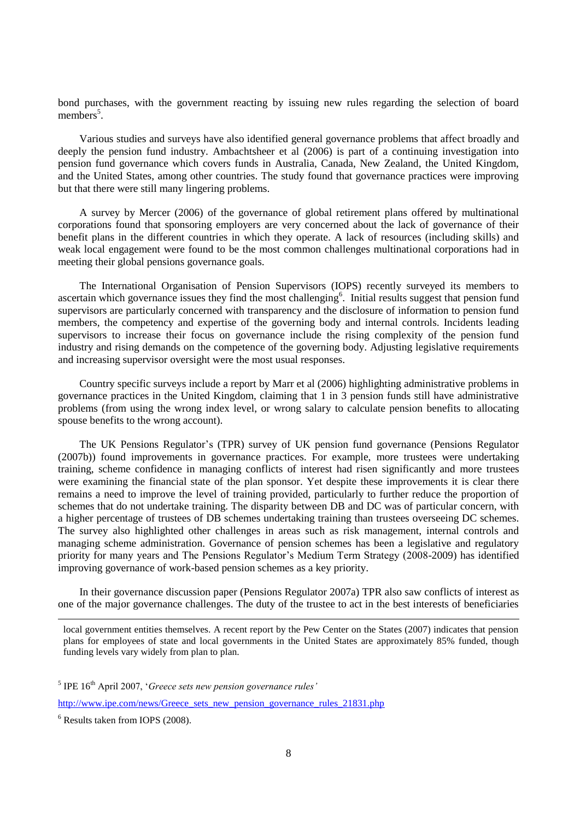bond purchases, with the government reacting by issuing new rules regarding the selection of board members<sup>5</sup>.

Various studies and surveys have also identified general governance problems that affect broadly and deeply the pension fund industry. Ambachtsheer et al (2006) is part of a continuing investigation into pension fund governance which covers funds in Australia, Canada, New Zealand, the United Kingdom, and the United States, among other countries. The study found that governance practices were improving but that there were still many lingering problems.

A survey by Mercer (2006) of the governance of global retirement plans offered by multinational corporations found that sponsoring employers are very concerned about the lack of governance of their benefit plans in the different countries in which they operate. A lack of resources (including skills) and weak local engagement were found to be the most common challenges multinational corporations had in meeting their global pensions governance goals.

The International Organisation of Pension Supervisors (IOPS) recently surveyed its members to ascertain which governance issues they find the most challenging<sup>6</sup>. Initial results suggest that pension fund supervisors are particularly concerned with transparency and the disclosure of information to pension fund members, the competency and expertise of the governing body and internal controls. Incidents leading supervisors to increase their focus on governance include the rising complexity of the pension fund industry and rising demands on the competence of the governing body. Adjusting legislative requirements and increasing supervisor oversight were the most usual responses.

Country specific surveys include a report by Marr et al (2006) highlighting administrative problems in governance practices in the United Kingdom, claiming that 1 in 3 pension funds still have administrative problems (from using the wrong index level, or wrong salary to calculate pension benefits to allocating spouse benefits to the wrong account).

The UK Pensions Regulator's (TPR) survey of UK pension fund governance (Pensions Regulator (2007b)) found improvements in governance practices. For example, more trustees were undertaking training, scheme confidence in managing conflicts of interest had risen significantly and more trustees were examining the financial state of the plan sponsor. Yet despite these improvements it is clear there remains a need to improve the level of training provided, particularly to further reduce the proportion of schemes that do not undertake training. The disparity between DB and DC was of particular concern, with a higher percentage of trustees of DB schemes undertaking training than trustees overseeing DC schemes. The survey also highlighted other challenges in areas such as risk management, internal controls and managing scheme administration. Governance of pension schemes has been a legislative and regulatory priority for many years and The Pensions Regulator's Medium Term Strategy (2008-2009) has identified improving governance of work-based pension schemes as a key priority.

In their governance discussion paper (Pensions Regulator 2007a) TPR also saw conflicts of interest as one of the major governance challenges. The duty of the trustee to act in the best interests of beneficiaries

local government entities themselves. A recent report by the Pew Center on the States (2007) indicates that pension plans for employees of state and local governments in the United States are approximately 85% funded, though funding levels vary widely from plan to plan.

<sup>5</sup> IPE 16<sup>th</sup> April 2007, '*Greece sets new pension governance rules'* 

[http://www.ipe.com/news/Greece\\_sets\\_new\\_pension\\_governance\\_rules\\_21831.php](http://www.ipe.com/news/Greece_sets_new_pension_governance_rules_21831.php)

 $\overline{a}$ 

 $6$  Results taken from IOPS (2008).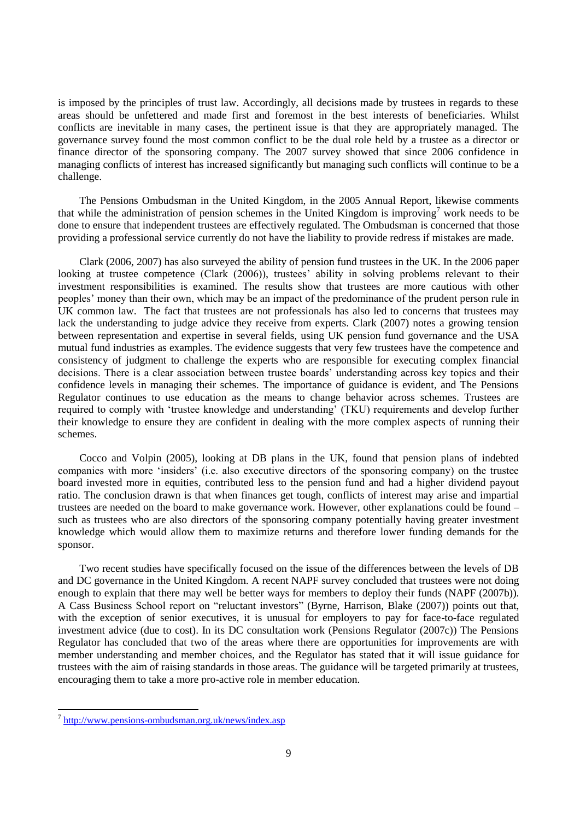is imposed by the principles of trust law. Accordingly, all decisions made by trustees in regards to these areas should be unfettered and made first and foremost in the best interests of beneficiaries. Whilst conflicts are inevitable in many cases, the pertinent issue is that they are appropriately managed. The governance survey found the most common conflict to be the dual role held by a trustee as a director or finance director of the sponsoring company. The 2007 survey showed that since 2006 confidence in managing conflicts of interest has increased significantly but managing such conflicts will continue to be a challenge.

The Pensions Ombudsman in the United Kingdom, in the 2005 Annual Report, likewise comments that while the administration of pension schemes in the United Kingdom is improving<sup>7</sup> work needs to be done to ensure that independent trustees are effectively regulated. The Ombudsman is concerned that those providing a professional service currently do not have the liability to provide redress if mistakes are made.

Clark (2006, 2007) has also surveyed the ability of pension fund trustees in the UK. In the 2006 paper looking at trustee competence (Clark (2006)), trustees' ability in solving problems relevant to their investment responsibilities is examined. The results show that trustees are more cautious with other peoples' money than their own, which may be an impact of the predominance of the prudent person rule in UK common law. The fact that trustees are not professionals has also led to concerns that trustees may lack the understanding to judge advice they receive from experts. Clark (2007) notes a growing tension between representation and expertise in several fields, using UK pension fund governance and the USA mutual fund industries as examples. The evidence suggests that very few trustees have the competence and consistency of judgment to challenge the experts who are responsible for executing complex financial decisions. There is a clear association between trustee boards' understanding across key topics and their confidence levels in managing their schemes. The importance of guidance is evident, and The Pensions Regulator continues to use education as the means to change behavior across schemes. Trustees are required to comply with 'trustee knowledge and understanding' (TKU) requirements and develop further their knowledge to ensure they are confident in dealing with the more complex aspects of running their schemes.

Cocco and Volpin (2005), looking at DB plans in the UK, found that pension plans of indebted companies with more ‗insiders' (i.e. also executive directors of the sponsoring company) on the trustee board invested more in equities, contributed less to the pension fund and had a higher dividend payout ratio. The conclusion drawn is that when finances get tough, conflicts of interest may arise and impartial trustees are needed on the board to make governance work. However, other explanations could be found – such as trustees who are also directors of the sponsoring company potentially having greater investment knowledge which would allow them to maximize returns and therefore lower funding demands for the sponsor.

Two recent studies have specifically focused on the issue of the differences between the levels of DB and DC governance in the United Kingdom. A recent NAPF survey concluded that trustees were not doing enough to explain that there may well be better ways for members to deploy their funds (NAPF (2007b)). A Cass Business School report on "reluctant investors" (Byrne, Harrison, Blake (2007)) points out that, with the exception of senior executives, it is unusual for employers to pay for face-to-face regulated investment advice (due to cost). In its DC consultation work (Pensions Regulator (2007c)) The Pensions Regulator has concluded that two of the areas where there are opportunities for improvements are with member understanding and member choices, and the Regulator has stated that it will issue guidance for trustees with the aim of raising standards in those areas. The guidance will be targeted primarily at trustees, encouraging them to take a more pro-active role in member education.

 $\overline{a}$ 

<sup>&</sup>lt;sup>7</sup> <http://www.pensions-ombudsman.org.uk/news/index.asp>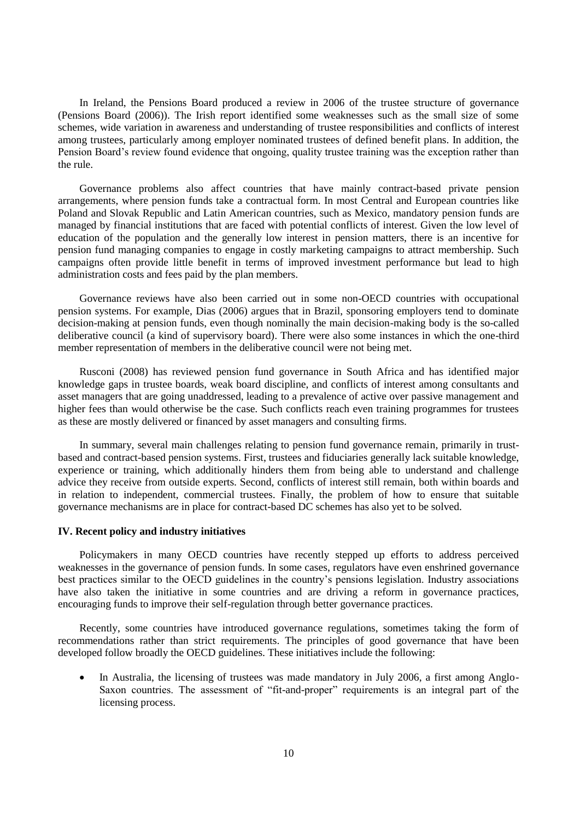In Ireland, the Pensions Board produced a review in 2006 of the trustee structure of governance (Pensions Board (2006)). The Irish report identified some weaknesses such as the small size of some schemes, wide variation in awareness and understanding of trustee responsibilities and conflicts of interest among trustees, particularly among employer nominated trustees of defined benefit plans. In addition, the Pension Board's review found evidence that ongoing, quality trustee training was the exception rather than the rule.

Governance problems also affect countries that have mainly contract-based private pension arrangements, where pension funds take a contractual form. In most Central and European countries like Poland and Slovak Republic and Latin American countries, such as Mexico, mandatory pension funds are managed by financial institutions that are faced with potential conflicts of interest. Given the low level of education of the population and the generally low interest in pension matters, there is an incentive for pension fund managing companies to engage in costly marketing campaigns to attract membership. Such campaigns often provide little benefit in terms of improved investment performance but lead to high administration costs and fees paid by the plan members.

Governance reviews have also been carried out in some non-OECD countries with occupational pension systems. For example, Dias (2006) argues that in Brazil, sponsoring employers tend to dominate decision-making at pension funds, even though nominally the main decision-making body is the so-called deliberative council (a kind of supervisory board). There were also some instances in which the one-third member representation of members in the deliberative council were not being met.

Rusconi (2008) has reviewed pension fund governance in South Africa and has identified major knowledge gaps in trustee boards, weak board discipline, and conflicts of interest among consultants and asset managers that are going unaddressed, leading to a prevalence of active over passive management and higher fees than would otherwise be the case. Such conflicts reach even training programmes for trustees as these are mostly delivered or financed by asset managers and consulting firms.

In summary, several main challenges relating to pension fund governance remain, primarily in trustbased and contract-based pension systems. First, trustees and fiduciaries generally lack suitable knowledge, experience or training, which additionally hinders them from being able to understand and challenge advice they receive from outside experts. Second, conflicts of interest still remain, both within boards and in relation to independent, commercial trustees. Finally, the problem of how to ensure that suitable governance mechanisms are in place for contract-based DC schemes has also yet to be solved.

# **IV. Recent policy and industry initiatives**

Policymakers in many OECD countries have recently stepped up efforts to address perceived weaknesses in the governance of pension funds. In some cases, regulators have even enshrined governance best practices similar to the OECD guidelines in the country's pensions legislation. Industry associations have also taken the initiative in some countries and are driving a reform in governance practices, encouraging funds to improve their self-regulation through better governance practices.

Recently, some countries have introduced governance regulations, sometimes taking the form of recommendations rather than strict requirements. The principles of good governance that have been developed follow broadly the OECD guidelines. These initiatives include the following:

 In Australia, the licensing of trustees was made mandatory in July 2006, a first among Anglo-Saxon countries. The assessment of "fit-and-proper" requirements is an integral part of the licensing process.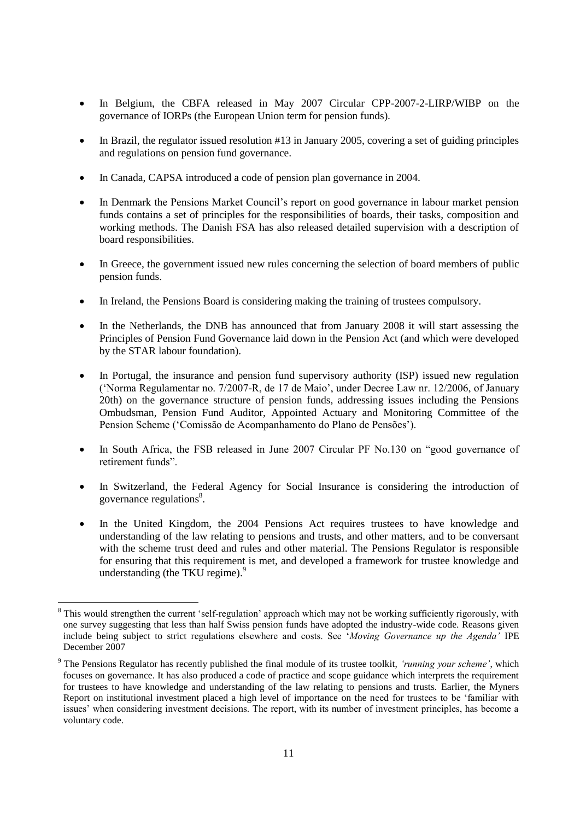- In Belgium, the CBFA released in May 2007 Circular CPP-2007-2-LIRP/WIBP on the governance of IORPs (the European Union term for pension funds).
- In Brazil, the regulator issued resolution #13 in January 2005, covering a set of guiding principles and regulations on pension fund governance.
- In Canada, CAPSA introduced a code of pension plan governance in 2004.
- In Denmark the Pensions Market Council's report on good governance in labour market pension funds contains a set of principles for the responsibilities of boards, their tasks, composition and working methods. The Danish FSA has also released detailed supervision with a description of board responsibilities.
- In Greece, the government issued new rules concerning the selection of board members of public pension funds.
- In Ireland, the Pensions Board is considering making the training of trustees compulsory.
- In the Netherlands, the DNB has announced that from January 2008 it will start assessing the Principles of Pension Fund Governance laid down in the Pension Act (and which were developed by the STAR labour foundation).
- In Portugal, the insurance and pension fund supervisory authority (ISP) issued new regulation (‗Norma Regulamentar no. 7/2007-R, de 17 de Maio', under Decree Law nr. 12/2006, of January 20th) on the governance structure of pension funds, addressing issues including the Pensions Ombudsman, Pension Fund Auditor, Appointed Actuary and Monitoring Committee of the Pension Scheme (‗Comissão de Acompanhamento do Plano de Pensões').
- In South Africa, the FSB released in June 2007 Circular PF No.130 on "good governance of retirement funds"
- In Switzerland, the Federal Agency for Social Insurance is considering the introduction of governance regulations<sup>8</sup>.
- In the United Kingdom, the 2004 Pensions Act requires trustees to have knowledge and understanding of the law relating to pensions and trusts, and other matters, and to be conversant with the scheme trust deed and rules and other material. The Pensions Regulator is responsible for ensuring that this requirement is met, and developed a framework for trustee knowledge and understanding (the TKU regime).<sup>9</sup>

<sup>&</sup>lt;sup>8</sup> This would strengthen the current 'self-regulation' approach which may not be working sufficiently rigorously, with one survey suggesting that less than half Swiss pension funds have adopted the industry-wide code. Reasons given include being subject to strict regulations elsewhere and costs. See ‗*Moving Governance up the Agenda'* IPE December 2007

<sup>9</sup> The Pensions Regulator has recently published the final module of its trustee toolkit, *'running your scheme'*, which focuses on governance. It has also produced a code of practice and scope guidance which interprets the requirement for trustees to have knowledge and understanding of the law relating to pensions and trusts. Earlier, the Myners Report on institutional investment placed a high level of importance on the need for trustees to be 'familiar with issues' when considering investment decisions. The report, with its number of investment principles, has become a voluntary code.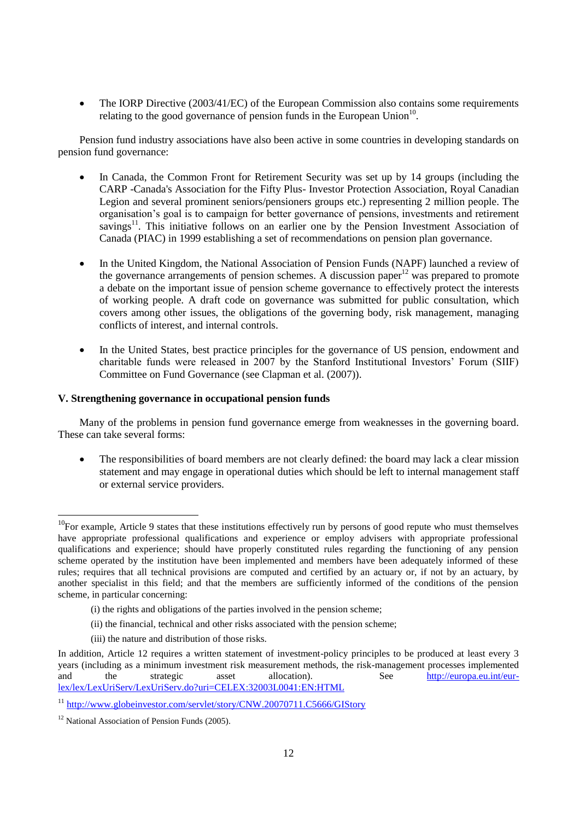• The IORP Directive (2003/41/EC) of the European Commission also contains some requirements relating to the good governance of pension funds in the European Union $10$ .

Pension fund industry associations have also been active in some countries in developing standards on pension fund governance:

- In Canada, the Common Front for Retirement Security was set up by 14 groups (including the CARP -Canada's Association for the Fifty Plus- Investor Protection Association, Royal Canadian Legion and several prominent seniors/pensioners groups etc.) representing 2 million people. The organisation's goal is to campaign for better governance of pensions, investments and retirement savings<sup>11</sup>. This initiative follows on an earlier one by the Pension Investment Association of Canada (PIAC) in 1999 establishing a set of recommendations on pension plan governance.
- In the United Kingdom, the National Association of Pension Funds (NAPF) launched a review of the governance arrangements of pension schemes. A discussion paper<sup>12</sup> was prepared to promote a debate on the important issue of pension scheme governance to effectively protect the interests of working people. A draft code on governance was submitted for public consultation, which covers among other issues, the obligations of the governing body, risk management, managing conflicts of interest, and internal controls.
- In the United States, best practice principles for the governance of US pension, endowment and charitable funds were released in 2007 by the Stanford Institutional Investors' Forum (SIIF) Committee on Fund Governance (see Clapman et al. (2007)).

# **V. Strengthening governance in occupational pension funds**

Many of the problems in pension fund governance emerge from weaknesses in the governing board. These can take several forms:

 The responsibilities of board members are not clearly defined: the board may lack a clear mission statement and may engage in operational duties which should be left to internal management staff or external service providers.

- (i) the rights and obligations of the parties involved in the pension scheme;
- (ii) the financial, technical and other risks associated with the pension scheme;
- (iii) the nature and distribution of those risks.

 $10$ For example, Article 9 states that these institutions effectively run by persons of good repute who must themselves have appropriate professional qualifications and experience or employ advisers with appropriate professional qualifications and experience; should have properly constituted rules regarding the functioning of any pension scheme operated by the institution have been implemented and members have been adequately informed of these rules; requires that all technical provisions are computed and certified by an actuary or, if not by an actuary, by another specialist in this field; and that the members are sufficiently informed of the conditions of the pension scheme, in particular concerning:

In addition, Article 12 requires a written statement of investment-policy principles to be produced at least every 3 years (including as a minimum investment risk measurement methods, the risk-management processes implemented and the strategic asset allocation). See [http://europa.eu.int/eur](http://europa.eu.int/eur-lex/lex/LexUriServ/LexUriServ.do?uri=CELEX:32003L0041:EN:HTML)[lex/lex/LexUriServ/LexUriServ.do?uri=CELEX:32003L0041:EN:HTML](http://europa.eu.int/eur-lex/lex/LexUriServ/LexUriServ.do?uri=CELEX:32003L0041:EN:HTML)

<sup>11</sup> <http://www.globeinvestor.com/servlet/story/CNW.20070711.C5666/GIStory>

<sup>&</sup>lt;sup>12</sup> National Association of Pension Funds (2005).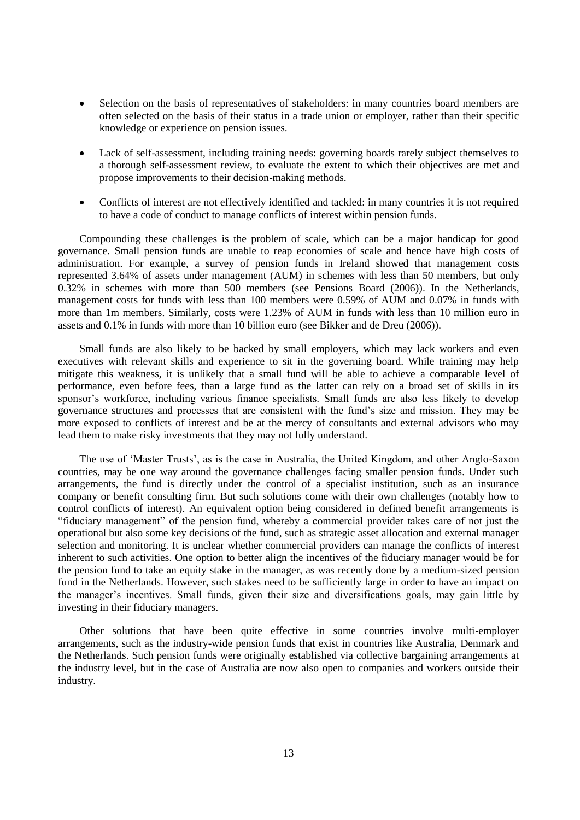- Selection on the basis of representatives of stakeholders: in many countries board members are often selected on the basis of their status in a trade union or employer, rather than their specific knowledge or experience on pension issues.
- Lack of self-assessment, including training needs: governing boards rarely subject themselves to a thorough self-assessment review, to evaluate the extent to which their objectives are met and propose improvements to their decision-making methods.
- Conflicts of interest are not effectively identified and tackled: in many countries it is not required to have a code of conduct to manage conflicts of interest within pension funds.

Compounding these challenges is the problem of scale, which can be a major handicap for good governance. Small pension funds are unable to reap economies of scale and hence have high costs of administration. For example, a survey of pension funds in Ireland showed that management costs represented 3.64% of assets under management (AUM) in schemes with less than 50 members, but only 0.32% in schemes with more than 500 members (see Pensions Board (2006)). In the Netherlands, management costs for funds with less than 100 members were 0.59% of AUM and 0.07% in funds with more than 1m members. Similarly, costs were 1.23% of AUM in funds with less than 10 million euro in assets and 0.1% in funds with more than 10 billion euro (see Bikker and de Dreu (2006)).

Small funds are also likely to be backed by small employers, which may lack workers and even executives with relevant skills and experience to sit in the governing board. While training may help mitigate this weakness, it is unlikely that a small fund will be able to achieve a comparable level of performance, even before fees, than a large fund as the latter can rely on a broad set of skills in its sponsor's workforce, including various finance specialists. Small funds are also less likely to develop governance structures and processes that are consistent with the fund's size and mission. They may be more exposed to conflicts of interest and be at the mercy of consultants and external advisors who may lead them to make risky investments that they may not fully understand.

The use of ‗Master Trusts', as is the case in Australia, the United Kingdom, and other Anglo-Saxon countries, may be one way around the governance challenges facing smaller pension funds. Under such arrangements, the fund is directly under the control of a specialist institution, such as an insurance company or benefit consulting firm. But such solutions come with their own challenges (notably how to control conflicts of interest). An equivalent option being considered in defined benefit arrangements is ―fiduciary management‖ of the pension fund, whereby a commercial provider takes care of not just the operational but also some key decisions of the fund, such as strategic asset allocation and external manager selection and monitoring. It is unclear whether commercial providers can manage the conflicts of interest inherent to such activities. One option to better align the incentives of the fiduciary manager would be for the pension fund to take an equity stake in the manager, as was recently done by a medium-sized pension fund in the Netherlands. However, such stakes need to be sufficiently large in order to have an impact on the manager's incentives. Small funds, given their size and diversifications goals, may gain little by investing in their fiduciary managers.

Other solutions that have been quite effective in some countries involve multi-employer arrangements, such as the industry-wide pension funds that exist in countries like Australia, Denmark and the Netherlands. Such pension funds were originally established via collective bargaining arrangements at the industry level, but in the case of Australia are now also open to companies and workers outside their industry.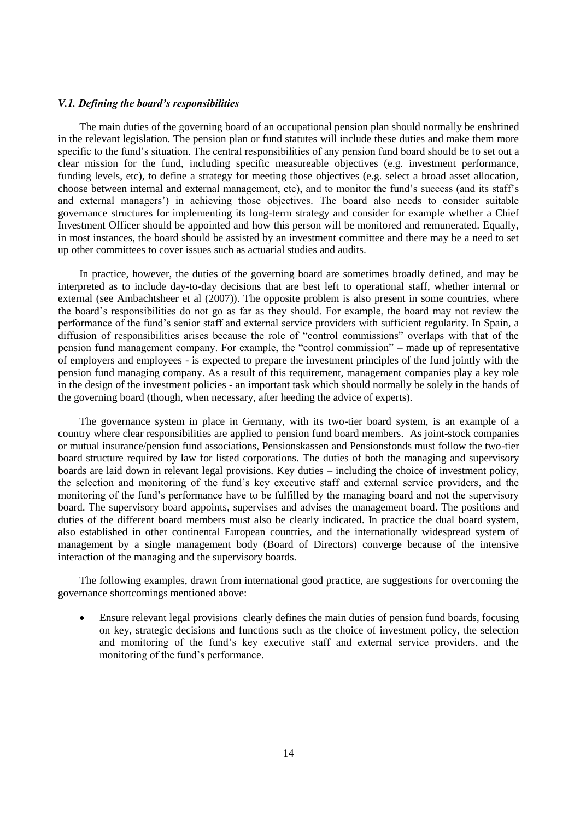# *V.1. Defining the board's responsibilities*

The main duties of the governing board of an occupational pension plan should normally be enshrined in the relevant legislation. The pension plan or fund statutes will include these duties and make them more specific to the fund's situation. The central responsibilities of any pension fund board should be to set out a clear mission for the fund, including specific measureable objectives (e.g. investment performance, funding levels, etc), to define a strategy for meeting those objectives (e.g. select a broad asset allocation, choose between internal and external management, etc), and to monitor the fund's success (and its staff's and external managers') in achieving those objectives. The board also needs to consider suitable governance structures for implementing its long-term strategy and consider for example whether a Chief Investment Officer should be appointed and how this person will be monitored and remunerated. Equally, in most instances, the board should be assisted by an investment committee and there may be a need to set up other committees to cover issues such as actuarial studies and audits.

In practice, however, the duties of the governing board are sometimes broadly defined, and may be interpreted as to include day-to-day decisions that are best left to operational staff, whether internal or external (see Ambachtsheer et al (2007)). The opposite problem is also present in some countries, where the board's responsibilities do not go as far as they should. For example, the board may not review the performance of the fund's senior staff and external service providers with sufficient regularity. In Spain, a diffusion of responsibilities arises because the role of "control commissions" overlaps with that of the pension fund management company. For example, the "control commission" – made up of representative of employers and employees - is expected to prepare the investment principles of the fund jointly with the pension fund managing company. As a result of this requirement, management companies play a key role in the design of the investment policies - an important task which should normally be solely in the hands of the governing board (though, when necessary, after heeding the advice of experts).

The governance system in place in Germany, with its two-tier board system, is an example of a country where clear responsibilities are applied to pension fund board members. As joint-stock companies or mutual insurance/pension fund associations, Pensionskassen and Pensionsfonds must follow the two-tier board structure required by law for listed corporations. The duties of both the managing and supervisory boards are laid down in relevant legal provisions. Key duties – including the choice of investment policy, the selection and monitoring of the fund's key executive staff and external service providers, and the monitoring of the fund's performance have to be fulfilled by the managing board and not the supervisory board. The supervisory board appoints, supervises and advises the management board. The positions and duties of the different board members must also be clearly indicated. In practice the dual board system, also established in other continental European countries, and the internationally widespread system of management by a single management body (Board of Directors) converge because of the intensive interaction of the managing and the supervisory boards.

The following examples, drawn from international good practice, are suggestions for overcoming the governance shortcomings mentioned above:

 Ensure relevant legal provisions clearly defines the main duties of pension fund boards, focusing on key, strategic decisions and functions such as the choice of investment policy, the selection and monitoring of the fund's key executive staff and external service providers, and the monitoring of the fund's performance.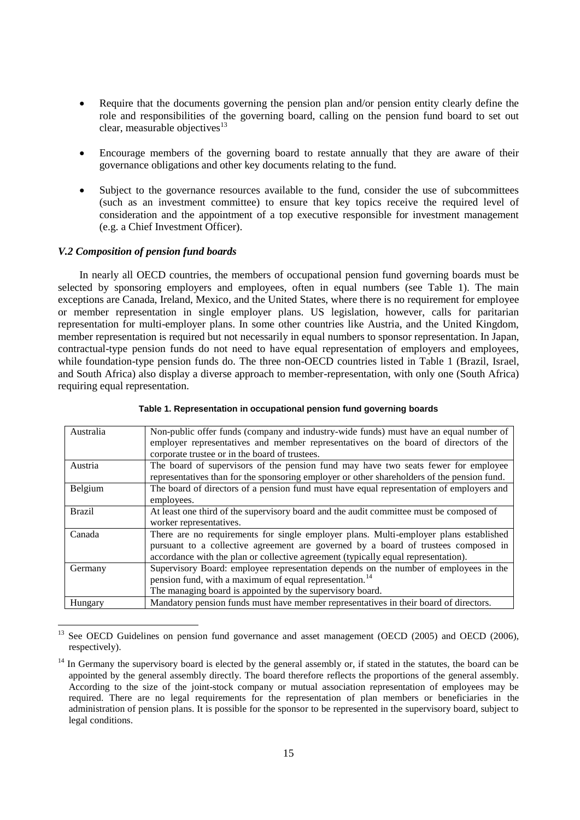- Require that the documents governing the pension plan and/or pension entity clearly define the role and responsibilities of the governing board, calling on the pension fund board to set out clear, measurable objectives $^{13}$
- Encourage members of the governing board to restate annually that they are aware of their governance obligations and other key documents relating to the fund.
- Subject to the governance resources available to the fund, consider the use of subcommittees (such as an investment committee) to ensure that key topics receive the required level of consideration and the appointment of a top executive responsible for investment management (e.g. a Chief Investment Officer).

# *V.2 Composition of pension fund boards*

In nearly all OECD countries, the members of occupational pension fund governing boards must be selected by sponsoring employers and employees, often in equal numbers (see Table 1). The main exceptions are Canada, Ireland, Mexico, and the United States, where there is no requirement for employee or member representation in single employer plans. US legislation, however, calls for paritarian representation for multi-employer plans. In some other countries like Austria, and the United Kingdom, member representation is required but not necessarily in equal numbers to sponsor representation. In Japan, contractual-type pension funds do not need to have equal representation of employers and employees, while foundation-type pension funds do. The three non-OECD countries listed in Table 1 (Brazil, Israel, and South Africa) also display a diverse approach to member-representation, with only one (South Africa) requiring equal representation.

| Australia     | Non-public offer funds (company and industry-wide funds) must have an equal number of<br>employer representatives and member representatives on the board of directors of the<br>corporate trustee or in the board of trustees.                                   |
|---------------|-------------------------------------------------------------------------------------------------------------------------------------------------------------------------------------------------------------------------------------------------------------------|
| Austria       | The board of supervisors of the pension fund may have two seats fewer for employee<br>representatives than for the sponsoring employer or other shareholders of the pension fund.                                                                                 |
| Belgium       | The board of directors of a pension fund must have equal representation of employers and<br>employees.                                                                                                                                                            |
| <b>Brazil</b> | At least one third of the supervisory board and the audit committee must be composed of<br>worker representatives.                                                                                                                                                |
| Canada        | There are no requirements for single employer plans. Multi-employer plans established<br>pursuant to a collective agreement are governed by a board of trustees composed in<br>accordance with the plan or collective agreement (typically equal representation). |
| Germany       | Supervisory Board: employee representation depends on the number of employees in the<br>pension fund, with a maximum of equal representation. <sup>14</sup><br>The managing board is appointed by the supervisory board.                                          |
| Hungary       | Mandatory pension funds must have member representatives in their board of directors.                                                                                                                                                                             |

#### **Table 1. Representation in occupational pension fund governing boards**

<sup>13</sup> See OECD Guidelines on pension fund governance and asset management (OECD (2005) and OECD (2006), respectively).

 $14$  In Germany the supervisory board is elected by the general assembly or, if stated in the statutes, the board can be appointed by the general assembly directly. The board therefore reflects the proportions of the general assembly. According to the size of the joint-stock company or mutual association representation of employees may be required. There are no legal requirements for the representation of plan members or beneficiaries in the administration of pension plans. It is possible for the sponsor to be represented in the supervisory board, subject to legal conditions.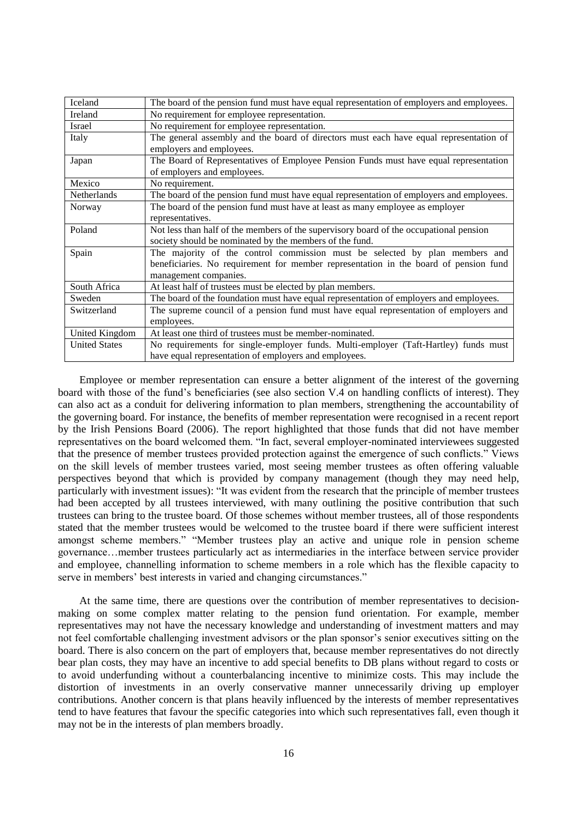| Iceland              | The board of the pension fund must have equal representation of employers and employees. |  |  |  |  |  |  |
|----------------------|------------------------------------------------------------------------------------------|--|--|--|--|--|--|
| Ireland              | No requirement for employee representation.                                              |  |  |  |  |  |  |
| Israel               | No requirement for employee representation.                                              |  |  |  |  |  |  |
| Italy                | The general assembly and the board of directors must each have equal representation of   |  |  |  |  |  |  |
|                      | employers and employees.                                                                 |  |  |  |  |  |  |
| Japan                | The Board of Representatives of Employee Pension Funds must have equal representation    |  |  |  |  |  |  |
|                      | of employers and employees.                                                              |  |  |  |  |  |  |
| Mexico               | No requirement.                                                                          |  |  |  |  |  |  |
| <b>Netherlands</b>   | The board of the pension fund must have equal representation of employers and employees. |  |  |  |  |  |  |
| Norway               | The board of the pension fund must have at least as many employee as employer            |  |  |  |  |  |  |
|                      | representatives.                                                                         |  |  |  |  |  |  |
| Poland               | Not less than half of the members of the supervisory board of the occupational pension   |  |  |  |  |  |  |
|                      | society should be nominated by the members of the fund.                                  |  |  |  |  |  |  |
| Spain                | The majority of the control commission must be selected by plan members and              |  |  |  |  |  |  |
|                      | beneficiaries. No requirement for member representation in the board of pension fund     |  |  |  |  |  |  |
|                      | management companies.                                                                    |  |  |  |  |  |  |
| South Africa         | At least half of trustees must be elected by plan members.                               |  |  |  |  |  |  |
| Sweden               | The board of the foundation must have equal representation of employers and employees.   |  |  |  |  |  |  |
| Switzerland          | The supreme council of a pension fund must have equal representation of employers and    |  |  |  |  |  |  |
|                      | employees.                                                                               |  |  |  |  |  |  |
| United Kingdom       | At least one third of trustees must be member-nominated.                                 |  |  |  |  |  |  |
| <b>United States</b> | No requirements for single-employer funds. Multi-employer (Taft-Hartley) funds must      |  |  |  |  |  |  |
|                      | have equal representation of employers and employees.                                    |  |  |  |  |  |  |

Employee or member representation can ensure a better alignment of the interest of the governing board with those of the fund's beneficiaries (see also section V.4 on handling conflicts of interest). They can also act as a conduit for delivering information to plan members, strengthening the accountability of the governing board. For instance, the benefits of member representation were recognised in a recent report by the Irish Pensions Board (2006). The report highlighted that those funds that did not have member representatives on the board welcomed them. "In fact, several employer-nominated interviewees suggested that the presence of member trustees provided protection against the emergence of such conflicts.‖ Views on the skill levels of member trustees varied, most seeing member trustees as often offering valuable perspectives beyond that which is provided by company management (though they may need help, particularly with investment issues): "It was evident from the research that the principle of member trustees had been accepted by all trustees interviewed, with many outlining the positive contribution that such trustees can bring to the trustee board. Of those schemes without member trustees, all of those respondents stated that the member trustees would be welcomed to the trustee board if there were sufficient interest amongst scheme members." "Member trustees play an active and unique role in pension scheme governance…member trustees particularly act as intermediaries in the interface between service provider and employee, channelling information to scheme members in a role which has the flexible capacity to serve in members' best interests in varied and changing circumstances."

At the same time, there are questions over the contribution of member representatives to decisionmaking on some complex matter relating to the pension fund orientation. For example, member representatives may not have the necessary knowledge and understanding of investment matters and may not feel comfortable challenging investment advisors or the plan sponsor's senior executives sitting on the board. There is also concern on the part of employers that, because member representatives do not directly bear plan costs, they may have an incentive to add special benefits to DB plans without regard to costs or to avoid underfunding without a counterbalancing incentive to minimize costs. This may include the distortion of investments in an overly conservative manner unnecessarily driving up employer contributions. Another concern is that plans heavily influenced by the interests of member representatives tend to have features that favour the specific categories into which such representatives fall, even though it may not be in the interests of plan members broadly.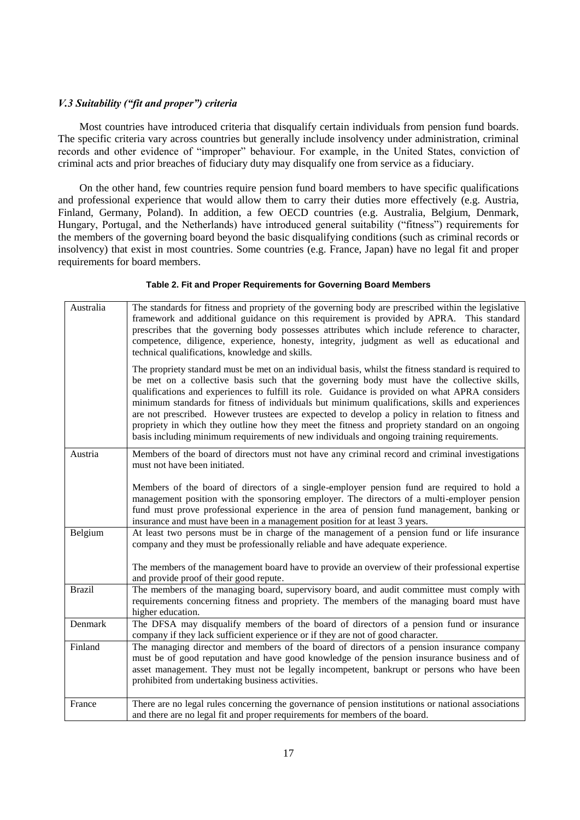# *V.3 Suitability ("fit and proper") criteria*

Most countries have introduced criteria that disqualify certain individuals from pension fund boards. The specific criteria vary across countries but generally include insolvency under administration, criminal records and other evidence of "improper" behaviour. For example, in the United States, conviction of criminal acts and prior breaches of fiduciary duty may disqualify one from service as a fiduciary.

On the other hand, few countries require pension fund board members to have specific qualifications and professional experience that would allow them to carry their duties more effectively (e.g. Austria, Finland, Germany, Poland). In addition, a few OECD countries (e.g. Australia, Belgium, Denmark, Hungary, Portugal, and the Netherlands) have introduced general suitability ("fitness") requirements for the members of the governing board beyond the basic disqualifying conditions (such as criminal records or insolvency) that exist in most countries. Some countries (e.g. France, Japan) have no legal fit and proper requirements for board members.

# **Table 2. Fit and Proper Requirements for Governing Board Members**

| Australia     | The standards for fitness and propriety of the governing body are prescribed within the legislative<br>framework and additional guidance on this requirement is provided by APRA. This standard<br>prescribes that the governing body possesses attributes which include reference to character,<br>competence, diligence, experience, honesty, integrity, judgment as well as educational and<br>technical qualifications, knowledge and skills.                                                                                                                                                                                                                                                             |
|---------------|---------------------------------------------------------------------------------------------------------------------------------------------------------------------------------------------------------------------------------------------------------------------------------------------------------------------------------------------------------------------------------------------------------------------------------------------------------------------------------------------------------------------------------------------------------------------------------------------------------------------------------------------------------------------------------------------------------------|
|               | The propriety standard must be met on an individual basis, whilst the fitness standard is required to<br>be met on a collective basis such that the governing body must have the collective skills,<br>qualifications and experiences to fulfill its role. Guidance is provided on what APRA considers<br>minimum standards for fitness of individuals but minimum qualifications, skills and experiences<br>are not prescribed. However trustees are expected to develop a policy in relation to fitness and<br>propriety in which they outline how they meet the fitness and propriety standard on an ongoing<br>basis including minimum requirements of new individuals and ongoing training requirements. |
| Austria       | Members of the board of directors must not have any criminal record and criminal investigations<br>must not have been initiated.                                                                                                                                                                                                                                                                                                                                                                                                                                                                                                                                                                              |
|               | Members of the board of directors of a single-employer pension fund are required to hold a<br>management position with the sponsoring employer. The directors of a multi-employer pension<br>fund must prove professional experience in the area of pension fund management, banking or<br>insurance and must have been in a management position for at least 3 years.                                                                                                                                                                                                                                                                                                                                        |
| Belgium       | At least two persons must be in charge of the management of a pension fund or life insurance<br>company and they must be professionally reliable and have adequate experience.                                                                                                                                                                                                                                                                                                                                                                                                                                                                                                                                |
|               | The members of the management board have to provide an overview of their professional expertise<br>and provide proof of their good repute.                                                                                                                                                                                                                                                                                                                                                                                                                                                                                                                                                                    |
| <b>Brazil</b> | The members of the managing board, supervisory board, and audit committee must comply with<br>requirements concerning fitness and propriety. The members of the managing board must have<br>higher education.                                                                                                                                                                                                                                                                                                                                                                                                                                                                                                 |
| Denmark       | The DFSA may disqualify members of the board of directors of a pension fund or insurance<br>company if they lack sufficient experience or if they are not of good character.                                                                                                                                                                                                                                                                                                                                                                                                                                                                                                                                  |
| Finland       | The managing director and members of the board of directors of a pension insurance company<br>must be of good reputation and have good knowledge of the pension insurance business and of<br>asset management. They must not be legally incompetent, bankrupt or persons who have been<br>prohibited from undertaking business activities.                                                                                                                                                                                                                                                                                                                                                                    |
| France        | There are no legal rules concerning the governance of pension institutions or national associations<br>and there are no legal fit and proper requirements for members of the board.                                                                                                                                                                                                                                                                                                                                                                                                                                                                                                                           |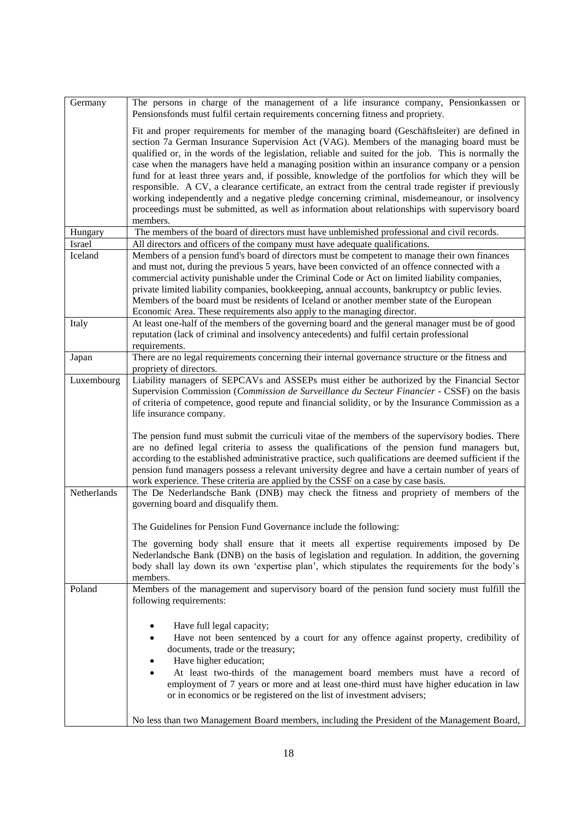| Germany                   | The persons in charge of the management of a life insurance company, Pensionkassen or<br>Pensionsfonds must fulfil certain requirements concerning fitness and propriety.                                                                                                                                                                                                                                                                                                                                                                                                                                                                                                                                                                                                                                                                                                                                                                                          |
|---------------------------|--------------------------------------------------------------------------------------------------------------------------------------------------------------------------------------------------------------------------------------------------------------------------------------------------------------------------------------------------------------------------------------------------------------------------------------------------------------------------------------------------------------------------------------------------------------------------------------------------------------------------------------------------------------------------------------------------------------------------------------------------------------------------------------------------------------------------------------------------------------------------------------------------------------------------------------------------------------------|
|                           | Fit and proper requirements for member of the managing board (Geschäftsleiter) are defined in<br>section 7a German Insurance Supervision Act (VAG). Members of the managing board must be<br>qualified or, in the words of the legislation, reliable and suited for the job. This is normally the<br>case when the managers have held a managing position within an insurance company or a pension<br>fund for at least three years and, if possible, knowledge of the portfolios for which they will be<br>responsible. A CV, a clearance certificate, an extract from the central trade register if previously<br>working independently and a negative pledge concerning criminal, misdemeanour, or insolvency<br>proceedings must be submitted, as well as information about relationships with supervisory board<br>members.                                                                                                                                   |
| Hungary                   | The members of the board of directors must have unblemished professional and civil records.                                                                                                                                                                                                                                                                                                                                                                                                                                                                                                                                                                                                                                                                                                                                                                                                                                                                        |
| Israel                    | All directors and officers of the company must have adequate qualifications.                                                                                                                                                                                                                                                                                                                                                                                                                                                                                                                                                                                                                                                                                                                                                                                                                                                                                       |
| Iceland                   | Members of a pension fund's board of directors must be competent to manage their own finances<br>and must not, during the previous 5 years, have been convicted of an offence connected with a<br>commercial activity punishable under the Criminal Code or Act on limited liability companies,<br>private limited liability companies, bookkeeping, annual accounts, bankruptcy or public levies.<br>Members of the board must be residents of Iceland or another member state of the European<br>Economic Area. These requirements also apply to the managing director.                                                                                                                                                                                                                                                                                                                                                                                          |
| Italy                     | At least one-half of the members of the governing board and the general manager must be of good<br>reputation (lack of criminal and insolvency antecedents) and fulfil certain professional<br>requirements.                                                                                                                                                                                                                                                                                                                                                                                                                                                                                                                                                                                                                                                                                                                                                       |
| Japan                     | There are no legal requirements concerning their internal governance structure or the fitness and<br>propriety of directors.                                                                                                                                                                                                                                                                                                                                                                                                                                                                                                                                                                                                                                                                                                                                                                                                                                       |
| Luxembourg<br>Netherlands | Liability managers of SEPCAVs and ASSEPs must either be authorized by the Financial Sector<br>Supervision Commission (Commission de Surveillance du Secteur Financier - CSSF) on the basis<br>of criteria of competence, good repute and financial solidity, or by the Insurance Commission as a<br>life insurance company.<br>The pension fund must submit the curriculi vitae of the members of the supervisory bodies. There<br>are no defined legal criteria to assess the qualifications of the pension fund managers but,<br>according to the established administrative practice, such qualifications are deemed sufficient if the<br>pension fund managers possess a relevant university degree and have a certain number of years of<br>work experience. These criteria are applied by the CSSF on a case by case basis.<br>The De Nederlandsche Bank (DNB) may check the fitness and propriety of members of the<br>governing board and disqualify them. |
|                           | The Guidelines for Pension Fund Governance include the following:<br>The governing body shall ensure that it meets all expertise requirements imposed by De                                                                                                                                                                                                                                                                                                                                                                                                                                                                                                                                                                                                                                                                                                                                                                                                        |
|                           | Nederlandsche Bank (DNB) on the basis of legislation and regulation. In addition, the governing<br>body shall lay down its own 'expertise plan', which stipulates the requirements for the body's<br>members.                                                                                                                                                                                                                                                                                                                                                                                                                                                                                                                                                                                                                                                                                                                                                      |
| Poland                    | Members of the management and supervisory board of the pension fund society must fulfill the<br>following requirements:                                                                                                                                                                                                                                                                                                                                                                                                                                                                                                                                                                                                                                                                                                                                                                                                                                            |
|                           | Have full legal capacity;<br>٠<br>Have not been sentenced by a court for any offence against property, credibility of<br>$\bullet$<br>documents, trade or the treasury;<br>Have higher education;<br>At least two-thirds of the management board members must have a record of<br>employment of 7 years or more and at least one-third must have higher education in law<br>or in economics or be registered on the list of investment advisers;<br>No less than two Management Board members, including the President of the Management Board,                                                                                                                                                                                                                                                                                                                                                                                                                    |
|                           |                                                                                                                                                                                                                                                                                                                                                                                                                                                                                                                                                                                                                                                                                                                                                                                                                                                                                                                                                                    |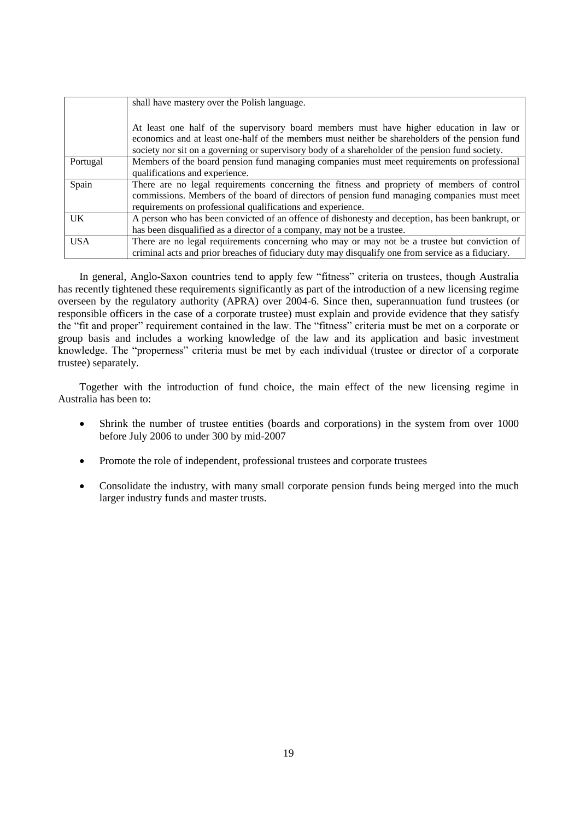|            | shall have mastery over the Polish language.                                                                                                                                               |  |  |  |  |  |  |
|------------|--------------------------------------------------------------------------------------------------------------------------------------------------------------------------------------------|--|--|--|--|--|--|
|            |                                                                                                                                                                                            |  |  |  |  |  |  |
|            | At least one half of the supervisory board members must have higher education in law or<br>economics and at least one-half of the members must neither be shareholders of the pension fund |  |  |  |  |  |  |
|            | society nor sit on a governing or supervisory body of a shareholder of the pension fund society.                                                                                           |  |  |  |  |  |  |
| Portugal   | Members of the board pension fund managing companies must meet requirements on professional                                                                                                |  |  |  |  |  |  |
|            | qualifications and experience.                                                                                                                                                             |  |  |  |  |  |  |
| Spain      | There are no legal requirements concerning the fitness and propriety of members of control                                                                                                 |  |  |  |  |  |  |
|            | commissions. Members of the board of directors of pension fund managing companies must meet                                                                                                |  |  |  |  |  |  |
|            | requirements on professional qualifications and experience.                                                                                                                                |  |  |  |  |  |  |
| UK.        | A person who has been convicted of an offence of dishonesty and deception, has been bankrupt, or                                                                                           |  |  |  |  |  |  |
|            | has been disqualified as a director of a company, may not be a trustee.                                                                                                                    |  |  |  |  |  |  |
| <b>USA</b> | There are no legal requirements concerning who may or may not be a trustee but conviction of                                                                                               |  |  |  |  |  |  |
|            | criminal acts and prior breaches of fiduciary duty may disqualify one from service as a fiduciary.                                                                                         |  |  |  |  |  |  |

In general, Anglo-Saxon countries tend to apply few "fitness" criteria on trustees, though Australia has recently tightened these requirements significantly as part of the introduction of a new licensing regime overseen by the regulatory authority (APRA) over 2004-6. Since then, superannuation fund trustees (or responsible officers in the case of a corporate trustee) must explain and provide evidence that they satisfy the "fit and proper" requirement contained in the law. The "fitness" criteria must be met on a corporate or group basis and includes a working knowledge of the law and its application and basic investment knowledge. The "properness" criteria must be met by each individual (trustee or director of a corporate trustee) separately.

Together with the introduction of fund choice, the main effect of the new licensing regime in Australia has been to:

- Shrink the number of trustee entities (boards and corporations) in the system from over 1000 before July 2006 to under 300 by mid-2007
- Promote the role of independent, professional trustees and corporate trustees
- Consolidate the industry, with many small corporate pension funds being merged into the much larger industry funds and master trusts.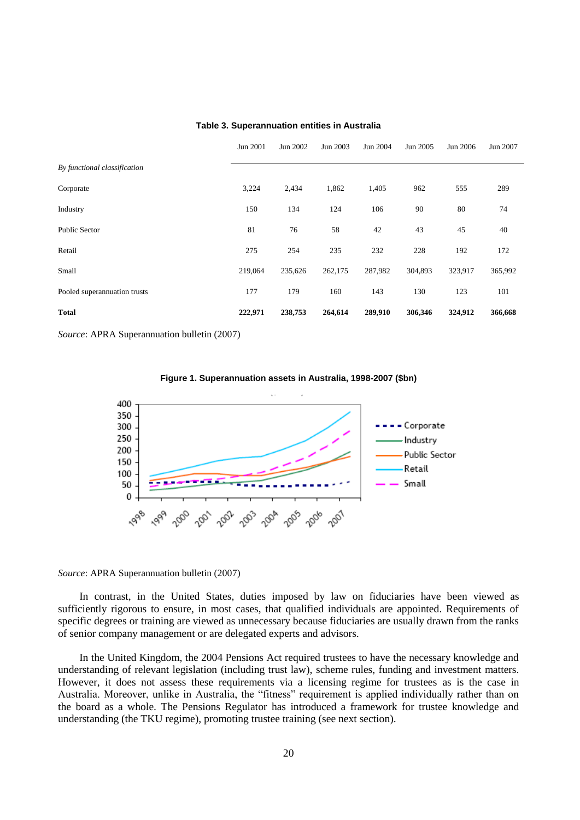|                              | Jun 2001 | Jun 2002 | Jun 2003 | Jun 2004 | Jun 2005 | Jun 2006 | Jun 2007 |
|------------------------------|----------|----------|----------|----------|----------|----------|----------|
| By functional classification |          |          |          |          |          |          |          |
| Corporate                    | 3,224    | 2,434    | 1,862    | 1,405    | 962      | 555      | 289      |
| Industry                     | 150      | 134      | 124      | 106      | 90       | 80       | 74       |
| <b>Public Sector</b>         | 81       | 76       | 58       | 42       | 43       | 45       | 40       |
| Retail                       | 275      | 254      | 235      | 232      | 228      | 192      | 172      |
| Small                        | 219,064  | 235,626  | 262,175  | 287,982  | 304,893  | 323,917  | 365,992  |
| Pooled superannuation trusts | 177      | 179      | 160      | 143      | 130      | 123      | 101      |
| <b>Total</b>                 | 222,971  | 238,753  | 264,614  | 289,910  | 306,346  | 324,912  | 366,668  |

#### **Table 3. Superannuation entities in Australia**

*Source*: APRA Superannuation bulletin (2007)





#### *Source*: APRA Superannuation bulletin (2007)

In contrast, in the United States, duties imposed by law on fiduciaries have been viewed as sufficiently rigorous to ensure, in most cases, that qualified individuals are appointed. Requirements of specific degrees or training are viewed as unnecessary because fiduciaries are usually drawn from the ranks of senior company management or are delegated experts and advisors.

In the United Kingdom, the 2004 Pensions Act required trustees to have the necessary knowledge and understanding of relevant legislation (including trust law), scheme rules, funding and investment matters. However, it does not assess these requirements via a licensing regime for trustees as is the case in Australia. Moreover, unlike in Australia, the "fitness" requirement is applied individually rather than on the board as a whole. The Pensions Regulator has introduced a framework for trustee knowledge and understanding (the TKU regime), promoting trustee training (see next section).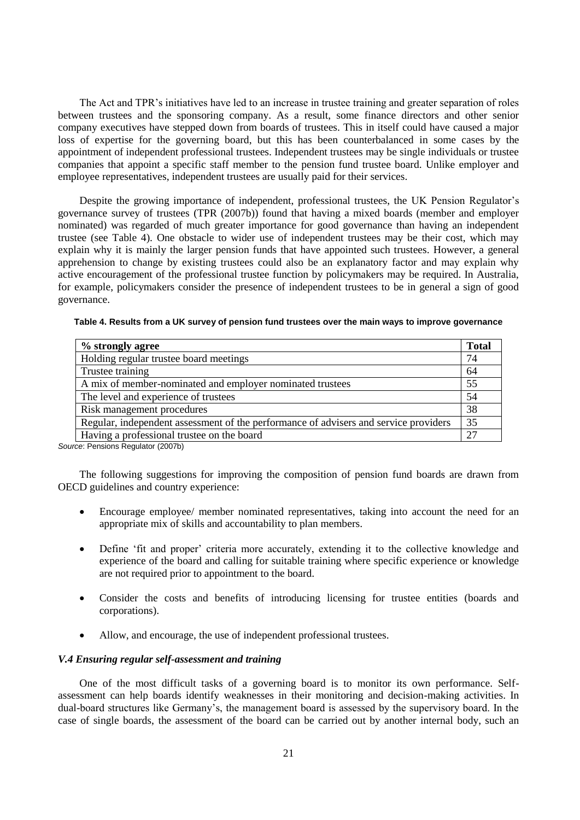The Act and TPR's initiatives have led to an increase in trustee training and greater separation of roles between trustees and the sponsoring company. As a result, some finance directors and other senior company executives have stepped down from boards of trustees. This in itself could have caused a major loss of expertise for the governing board, but this has been counterbalanced in some cases by the appointment of independent professional trustees. Independent trustees may be single individuals or trustee companies that appoint a specific staff member to the pension fund trustee board. Unlike employer and employee representatives, independent trustees are usually paid for their services.

Despite the growing importance of independent, professional trustees, the UK Pension Regulator's governance survey of trustees (TPR (2007b)) found that having a mixed boards (member and employer nominated) was regarded of much greater importance for good governance than having an independent trustee (see Table 4). One obstacle to wider use of independent trustees may be their cost, which may explain why it is mainly the larger pension funds that have appointed such trustees. However, a general apprehension to change by existing trustees could also be an explanatory factor and may explain why active encouragement of the professional trustee function by policymakers may be required. In Australia, for example, policymakers consider the presence of independent trustees to be in general a sign of good governance.

| % strongly agree                                                                     |  |  |
|--------------------------------------------------------------------------------------|--|--|
| Holding regular trustee board meetings                                               |  |  |
| Trustee training                                                                     |  |  |
| A mix of member-nominated and employer nominated trustees                            |  |  |
| The level and experience of trustees                                                 |  |  |
| Risk management procedures                                                           |  |  |
| Regular, independent assessment of the performance of advisers and service providers |  |  |
| Having a professional trustee on the board                                           |  |  |

**Table 4. Results from a UK survey of pension fund trustees over the main ways to improve governance**

*Source*: Pensions Regulator (2007b)

The following suggestions for improving the composition of pension fund boards are drawn from OECD guidelines and country experience:

- Encourage employee/ member nominated representatives, taking into account the need for an appropriate mix of skills and accountability to plan members.
- Define 'fit and proper' criteria more accurately, extending it to the collective knowledge and experience of the board and calling for suitable training where specific experience or knowledge are not required prior to appointment to the board.
- Consider the costs and benefits of introducing licensing for trustee entities (boards and corporations).
- Allow, and encourage, the use of independent professional trustees.

# *V.4 Ensuring regular self-assessment and training*

One of the most difficult tasks of a governing board is to monitor its own performance. Selfassessment can help boards identify weaknesses in their monitoring and decision-making activities. In dual-board structures like Germany's, the management board is assessed by the supervisory board. In the case of single boards, the assessment of the board can be carried out by another internal body, such an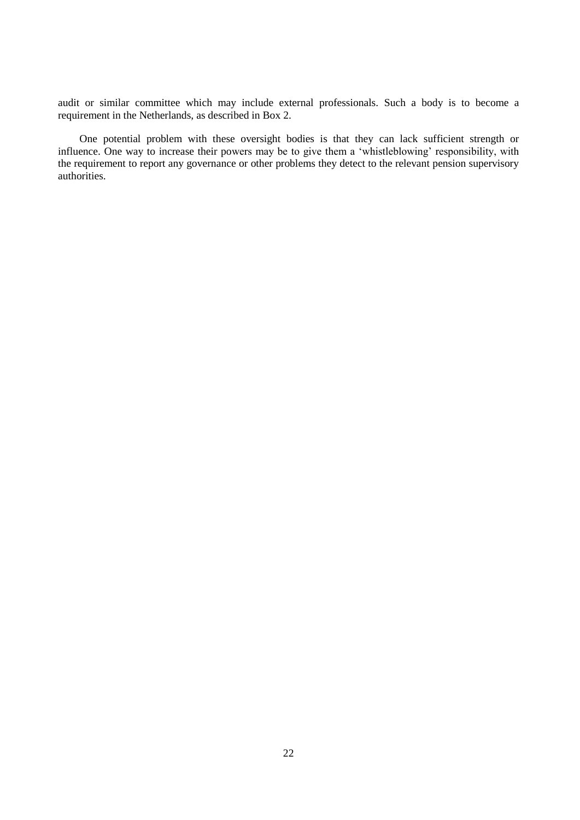audit or similar committee which may include external professionals. Such a body is to become a requirement in the Netherlands, as described in Box 2.

One potential problem with these oversight bodies is that they can lack sufficient strength or influence. One way to increase their powers may be to give them a 'whistleblowing' responsibility, with the requirement to report any governance or other problems they detect to the relevant pension supervisory authorities.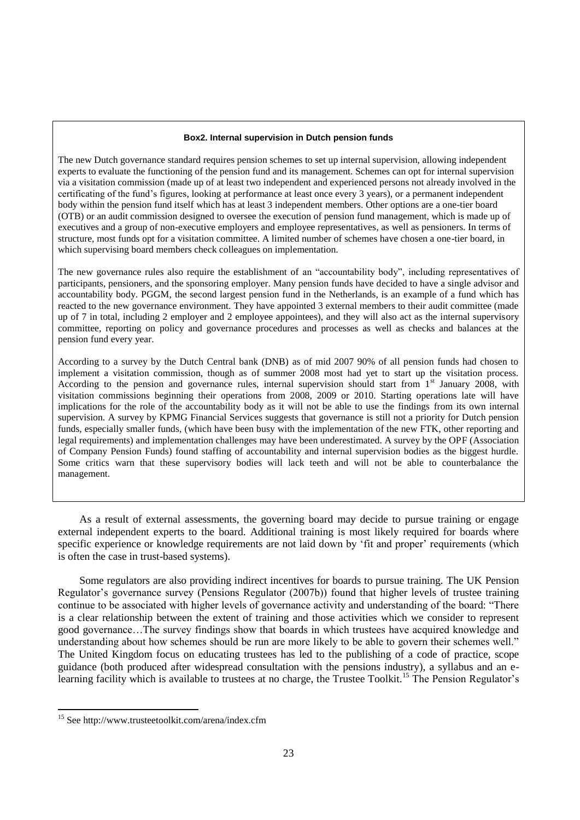#### **Box2. Internal supervision in Dutch pension funds**

The new Dutch governance standard requires pension schemes to set up internal supervision, allowing independent experts to evaluate the functioning of the pension fund and its management. Schemes can opt for internal supervision via a visitation commission (made up of at least two independent and experienced persons not already involved in the certificating of the fund's figures, looking at performance at least once every 3 years), or a permanent independent body within the pension fund itself which has at least 3 independent members. Other options are a one-tier board (OTB) or an audit commission designed to oversee the execution of pension fund management, which is made up of executives and a group of non-executive employers and employee representatives, as well as pensioners. In terms of structure, most funds opt for a visitation committee. A limited number of schemes have chosen a one-tier board, in which supervising board members check colleagues on implementation.

The new governance rules also require the establishment of an "accountability body", including representatives of participants, pensioners, and the sponsoring employer. Many pension funds have decided to have a single advisor and accountability body. PGGM, the second largest pension fund in the Netherlands, is an example of a fund which has reacted to the new governance environment. They have appointed 3 external members to their audit committee (made up of 7 in total, including 2 employer and 2 employee appointees), and they will also act as the internal supervisory committee, reporting on policy and governance procedures and processes as well as checks and balances at the pension fund every year.

According to a survey by the Dutch Central bank (DNB) as of mid 2007 90% of all pension funds had chosen to implement a visitation commission, though as of summer 2008 most had yet to start up the visitation process. According to the pension and governance rules, internal supervision should start from  $1<sup>st</sup>$  January 2008, with visitation commissions beginning their operations from 2008, 2009 or 2010. Starting operations late will have implications for the role of the accountability body as it will not be able to use the findings from its own internal supervision. A survey by KPMG Financial Services suggests that governance is still not a priority for Dutch pension funds, especially smaller funds, (which have been busy with the implementation of the new FTK, other reporting and legal requirements) and implementation challenges may have been underestimated. A survey by the OPF (Association of Company Pension Funds) found staffing of accountability and internal supervision bodies as the biggest hurdle. Some critics warn that these supervisory bodies will lack teeth and will not be able to counterbalance the management.

As a result of external assessments, the governing board may decide to pursue training or engage external independent experts to the board. Additional training is most likely required for boards where specific experience or knowledge requirements are not laid down by 'fit and proper' requirements (which is often the case in trust-based systems).

Some regulators are also providing indirect incentives for boards to pursue training. The UK Pension Regulator's governance survey (Pensions Regulator (2007b)) found that higher levels of trustee training continue to be associated with higher levels of governance activity and understanding of the board: "There is a clear relationship between the extent of training and those activities which we consider to represent good governance…The survey findings show that boards in which trustees have acquired knowledge and understanding about how schemes should be run are more likely to be able to govern their schemes well." The United Kingdom focus on educating trustees has led to the publishing of a code of practice, scope guidance (both produced after widespread consultation with the pensions industry), a syllabus and an elearning facility which is available to trustees at no charge, the Trustee Toolkit.<sup>15</sup> The Pension Regulator's

 $\overline{a}$ 

<sup>15</sup> See http://www.trusteetoolkit.com/arena/index.cfm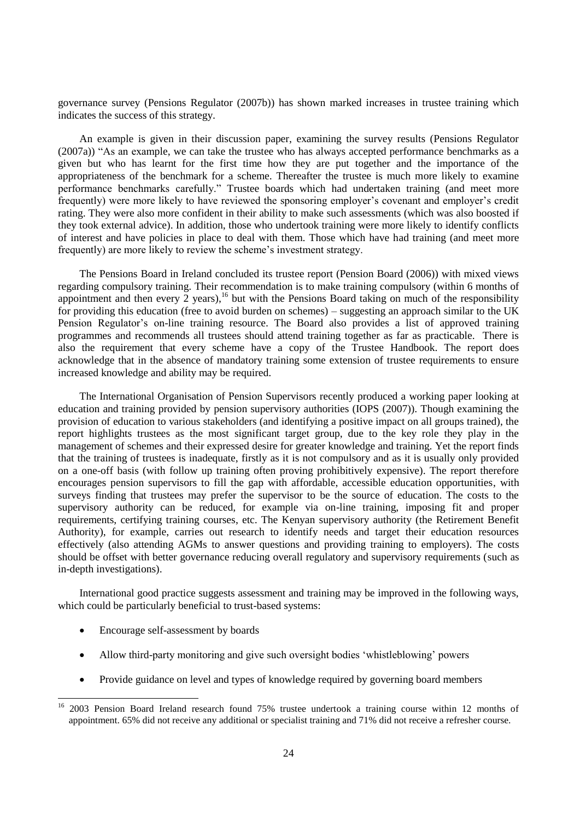governance survey (Pensions Regulator (2007b)) has shown marked increases in trustee training which indicates the success of this strategy.

An example is given in their discussion paper, examining the survey results (Pensions Regulator  $(2007a)$ ) "As an example, we can take the trustee who has always accepted performance benchmarks as a given but who has learnt for the first time how they are put together and the importance of the appropriateness of the benchmark for a scheme. Thereafter the trustee is much more likely to examine performance benchmarks carefully." Trustee boards which had undertaken training (and meet more frequently) were more likely to have reviewed the sponsoring employer's covenant and employer's credit rating. They were also more confident in their ability to make such assessments (which was also boosted if they took external advice). In addition, those who undertook training were more likely to identify conflicts of interest and have policies in place to deal with them. Those which have had training (and meet more frequently) are more likely to review the scheme's investment strategy.

The Pensions Board in Ireland concluded its trustee report (Pension Board (2006)) with mixed views regarding compulsory training. Their recommendation is to make training compulsory (within 6 months of appointment and then every 2 years),<sup>16</sup> but with the Pensions Board taking on much of the responsibility for providing this education (free to avoid burden on schemes) – suggesting an approach similar to the UK Pension Regulator's on-line training resource. The Board also provides a list of approved training programmes and recommends all trustees should attend training together as far as practicable. There is also the requirement that every scheme have a copy of the Trustee Handbook. The report does acknowledge that in the absence of mandatory training some extension of trustee requirements to ensure increased knowledge and ability may be required.

The International Organisation of Pension Supervisors recently produced a working paper looking at education and training provided by pension supervisory authorities (IOPS (2007)). Though examining the provision of education to various stakeholders (and identifying a positive impact on all groups trained), the report highlights trustees as the most significant target group, due to the key role they play in the management of schemes and their expressed desire for greater knowledge and training. Yet the report finds that the training of trustees is inadequate, firstly as it is not compulsory and as it is usually only provided on a one-off basis (with follow up training often proving prohibitively expensive). The report therefore encourages pension supervisors to fill the gap with affordable, accessible education opportunities, with surveys finding that trustees may prefer the supervisor to be the source of education. The costs to the supervisory authority can be reduced, for example via on-line training, imposing fit and proper requirements, certifying training courses, etc. The Kenyan supervisory authority (the Retirement Benefit Authority), for example, carries out research to identify needs and target their education resources effectively (also attending AGMs to answer questions and providing training to employers). The costs should be offset with better governance reducing overall regulatory and supervisory requirements (such as in-depth investigations).

International good practice suggests assessment and training may be improved in the following ways, which could be particularly beneficial to trust-based systems:

Encourage self-assessment by boards

- Allow third-party monitoring and give such oversight bodies 'whistleblowing' powers
- Provide guidance on level and types of knowledge required by governing board members

<sup>16</sup> 2003 Pension Board Ireland research found 75% trustee undertook a training course within 12 months of appointment. 65% did not receive any additional or specialist training and 71% did not receive a refresher course.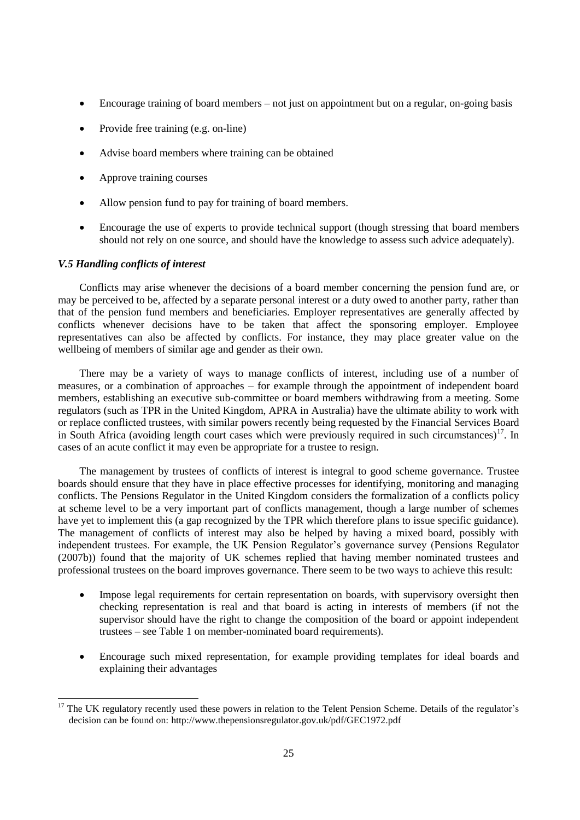- Encourage training of board members not just on appointment but on a regular, on-going basis
- Provide free training (e.g. on-line)
- Advise board members where training can be obtained
- Approve training courses
- Allow pension fund to pay for training of board members.
- Encourage the use of experts to provide technical support (though stressing that board members should not rely on one source, and should have the knowledge to assess such advice adequately).

### *V.5 Handling conflicts of interest*

Conflicts may arise whenever the decisions of a board member concerning the pension fund are, or may be perceived to be, affected by a separate personal interest or a duty owed to another party, rather than that of the pension fund members and beneficiaries. Employer representatives are generally affected by conflicts whenever decisions have to be taken that affect the sponsoring employer. Employee representatives can also be affected by conflicts. For instance, they may place greater value on the wellbeing of members of similar age and gender as their own.

There may be a variety of ways to manage conflicts of interest, including use of a number of measures, or a combination of approaches – for example through the appointment of independent board members, establishing an executive sub-committee or board members withdrawing from a meeting. Some regulators (such as TPR in the United Kingdom, APRA in Australia) have the ultimate ability to work with or replace conflicted trustees, with similar powers recently being requested by the Financial Services Board in South Africa (avoiding length court cases which were previously required in such circumstances)<sup>17</sup>. In cases of an acute conflict it may even be appropriate for a trustee to resign.

The management by trustees of conflicts of interest is integral to good scheme governance. Trustee boards should ensure that they have in place effective processes for identifying, monitoring and managing conflicts. The Pensions Regulator in the United Kingdom considers the formalization of a conflicts policy at scheme level to be a very important part of conflicts management, though a large number of schemes have yet to implement this (a gap recognized by the TPR which therefore plans to issue specific guidance). The management of conflicts of interest may also be helped by having a mixed board, possibly with independent trustees. For example, the UK Pension Regulator's governance survey (Pensions Regulator (2007b)) found that the majority of UK schemes replied that having member nominated trustees and professional trustees on the board improves governance. There seem to be two ways to achieve this result:

- Impose legal requirements for certain representation on boards, with supervisory oversight then checking representation is real and that board is acting in interests of members (if not the supervisor should have the right to change the composition of the board or appoint independent trustees – see Table 1 on member-nominated board requirements).
- Encourage such mixed representation, for example providing templates for ideal boards and explaining their advantages

<sup>17</sup> <sup>17</sup> The UK regulatory recently used these powers in relation to the Telent Pension Scheme. Details of the regulator's decision can be found on: http://www.thepensionsregulator.gov.uk/pdf/GEC1972.pdf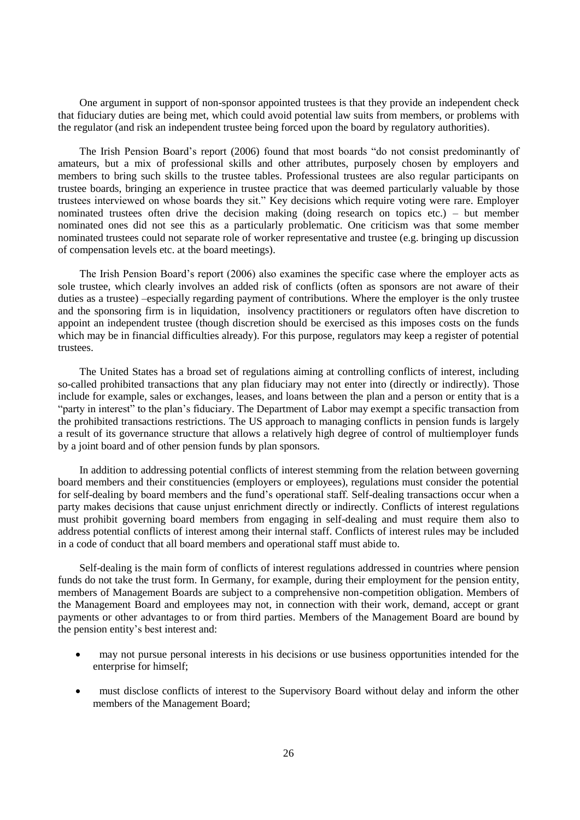One argument in support of non-sponsor appointed trustees is that they provide an independent check that fiduciary duties are being met, which could avoid potential law suits from members, or problems with the regulator (and risk an independent trustee being forced upon the board by regulatory authorities).

The Irish Pension Board's report (2006) found that most boards "do not consist predominantly of amateurs, but a mix of professional skills and other attributes, purposely chosen by employers and members to bring such skills to the trustee tables. Professional trustees are also regular participants on trustee boards, bringing an experience in trustee practice that was deemed particularly valuable by those trustees interviewed on whose boards they sit." Key decisions which require voting were rare. Employer nominated trustees often drive the decision making (doing research on topics etc.) – but member nominated ones did not see this as a particularly problematic. One criticism was that some member nominated trustees could not separate role of worker representative and trustee (e.g. bringing up discussion of compensation levels etc. at the board meetings).

The Irish Pension Board's report (2006) also examines the specific case where the employer acts as sole trustee, which clearly involves an added risk of conflicts (often as sponsors are not aware of their duties as a trustee) –especially regarding payment of contributions. Where the employer is the only trustee and the sponsoring firm is in liquidation, insolvency practitioners or regulators often have discretion to appoint an independent trustee (though discretion should be exercised as this imposes costs on the funds which may be in financial difficulties already). For this purpose, regulators may keep a register of potential trustees.

The United States has a broad set of regulations aiming at controlling conflicts of interest, including so-called prohibited transactions that any plan fiduciary may not enter into (directly or indirectly). Those include for example, sales or exchanges, leases, and loans between the plan and a person or entity that is a "party in interest" to the plan's fiduciary. The Department of Labor may exempt a specific transaction from the prohibited transactions restrictions. The US approach to managing conflicts in pension funds is largely a result of its governance structure that allows a relatively high degree of control of multiemployer funds by a joint board and of other pension funds by plan sponsors.

In addition to addressing potential conflicts of interest stemming from the relation between governing board members and their constituencies (employers or employees), regulations must consider the potential for self-dealing by board members and the fund's operational staff. Self-dealing transactions occur when a party makes decisions that cause unjust enrichment directly or indirectly. Conflicts of interest regulations must prohibit governing board members from engaging in self-dealing and must require them also to address potential conflicts of interest among their internal staff. Conflicts of interest rules may be included in a code of conduct that all board members and operational staff must abide to.

Self-dealing is the main form of conflicts of interest regulations addressed in countries where pension funds do not take the trust form. In Germany, for example, during their employment for the pension entity, members of Management Boards are subject to a comprehensive non-competition obligation. Members of the Management Board and employees may not, in connection with their work, demand, accept or grant payments or other advantages to or from third parties. Members of the Management Board are bound by the pension entity's best interest and:

- may not pursue personal interests in his decisions or use business opportunities intended for the enterprise for himself;
- must disclose conflicts of interest to the Supervisory Board without delay and inform the other members of the Management Board;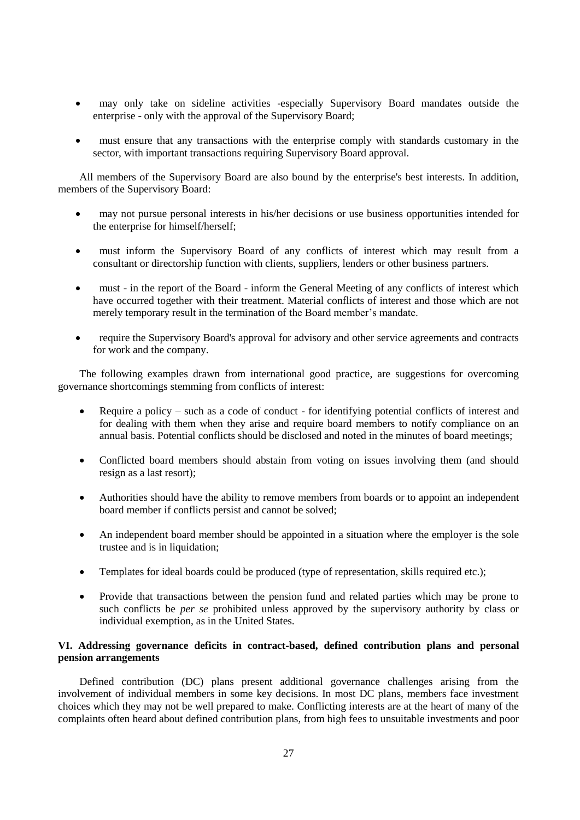- may only take on sideline activities -especially Supervisory Board mandates outside the enterprise - only with the approval of the Supervisory Board;
- must ensure that any transactions with the enterprise comply with standards customary in the sector, with important transactions requiring Supervisory Board approval.

All members of the Supervisory Board are also bound by the enterprise's best interests. In addition, members of the Supervisory Board:

- may not pursue personal interests in his/her decisions or use business opportunities intended for the enterprise for himself/herself;
- must inform the Supervisory Board of any conflicts of interest which may result from a consultant or directorship function with clients, suppliers, lenders or other business partners.
- must in the report of the Board inform the General Meeting of any conflicts of interest which have occurred together with their treatment. Material conflicts of interest and those which are not merely temporary result in the termination of the Board member's mandate.
- require the Supervisory Board's approval for advisory and other service agreements and contracts for work and the company.

The following examples drawn from international good practice, are suggestions for overcoming governance shortcomings stemming from conflicts of interest:

- Require a policy such as a code of conduct for identifying potential conflicts of interest and for dealing with them when they arise and require board members to notify compliance on an annual basis. Potential conflicts should be disclosed and noted in the minutes of board meetings;
- Conflicted board members should abstain from voting on issues involving them (and should resign as a last resort);
- Authorities should have the ability to remove members from boards or to appoint an independent board member if conflicts persist and cannot be solved;
- An independent board member should be appointed in a situation where the employer is the sole trustee and is in liquidation;
- Templates for ideal boards could be produced (type of representation, skills required etc.);
- Provide that transactions between the pension fund and related parties which may be prone to such conflicts be *per se* prohibited unless approved by the supervisory authority by class or individual exemption, as in the United States.

# **VI. Addressing governance deficits in contract-based, defined contribution plans and personal pension arrangements**

Defined contribution (DC) plans present additional governance challenges arising from the involvement of individual members in some key decisions. In most DC plans, members face investment choices which they may not be well prepared to make. Conflicting interests are at the heart of many of the complaints often heard about defined contribution plans, from high fees to unsuitable investments and poor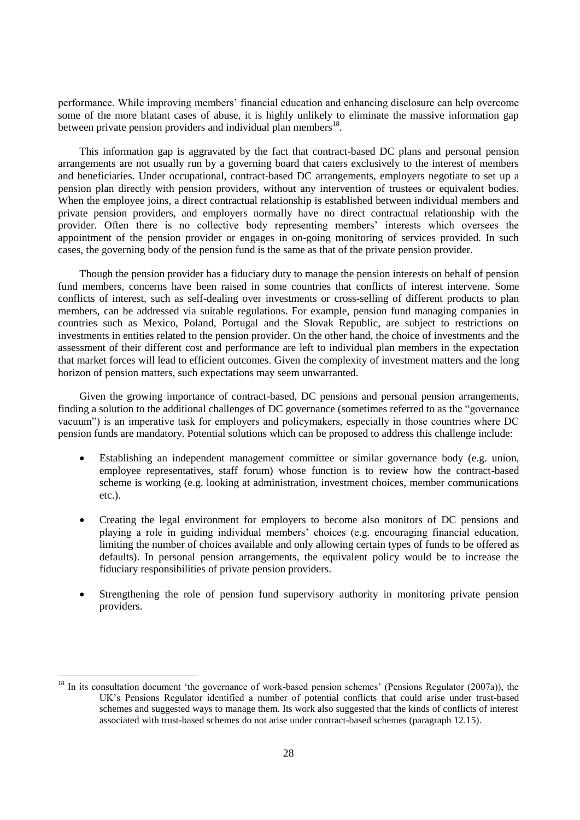performance. While improving members' financial education and enhancing disclosure can help overcome some of the more blatant cases of abuse, it is highly unlikely to eliminate the massive information gap between private pension providers and individual plan members<sup>18</sup>.

This information gap is aggravated by the fact that contract-based DC plans and personal pension arrangements are not usually run by a governing board that caters exclusively to the interest of members and beneficiaries. Under occupational, contract-based DC arrangements, employers negotiate to set up a pension plan directly with pension providers, without any intervention of trustees or equivalent bodies. When the employee joins, a direct contractual relationship is established between individual members and private pension providers, and employers normally have no direct contractual relationship with the provider. Often there is no collective body representing members' interests which oversees the appointment of the pension provider or engages in on-going monitoring of services provided. In such cases, the governing body of the pension fund is the same as that of the private pension provider.

Though the pension provider has a fiduciary duty to manage the pension interests on behalf of pension fund members, concerns have been raised in some countries that conflicts of interest intervene. Some conflicts of interest, such as self-dealing over investments or cross-selling of different products to plan members, can be addressed via suitable regulations. For example, pension fund managing companies in countries such as Mexico, Poland, Portugal and the Slovak Republic, are subject to restrictions on investments in entities related to the pension provider. On the other hand, the choice of investments and the assessment of their different cost and performance are left to individual plan members in the expectation that market forces will lead to efficient outcomes. Given the complexity of investment matters and the long horizon of pension matters, such expectations may seem unwarranted.

Given the growing importance of contract-based, DC pensions and personal pension arrangements, finding a solution to the additional challenges of DC governance (sometimes referred to as the "governance") vacuum‖) is an imperative task for employers and policymakers, especially in those countries where DC pension funds are mandatory. Potential solutions which can be proposed to address this challenge include:

- Establishing an independent management committee or similar governance body (e.g. union, employee representatives, staff forum) whose function is to review how the contract-based scheme is working (e.g. looking at administration, investment choices, member communications etc.).
- Creating the legal environment for employers to become also monitors of DC pensions and playing a role in guiding individual members' choices (e.g. encouraging financial education, limiting the number of choices available and only allowing certain types of funds to be offered as defaults). In personal pension arrangements, the equivalent policy would be to increase the fiduciary responsibilities of private pension providers.
- Strengthening the role of pension fund supervisory authority in monitoring private pension providers.

 $\overline{a}$ 

In its consultation document 'the governance of work-based pension schemes' (Pensions Regulator (2007a)), the UK's Pensions Regulator identified a number of potential conflicts that could arise under trust-based schemes and suggested ways to manage them. Its work also suggested that the kinds of conflicts of interest associated with trust-based schemes do not arise under contract-based schemes (paragraph 12.15).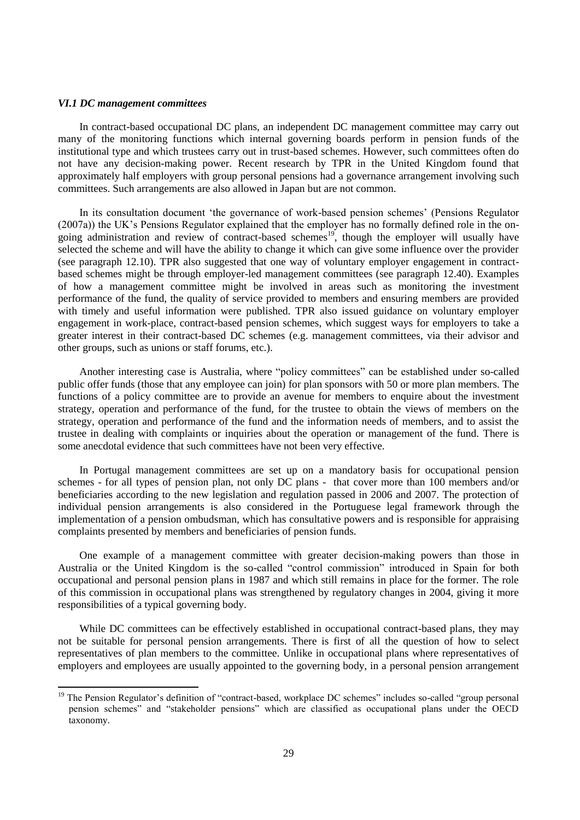#### *VI.1 DC management committees*

In contract-based occupational DC plans, an independent DC management committee may carry out many of the monitoring functions which internal governing boards perform in pension funds of the institutional type and which trustees carry out in trust-based schemes. However, such committees often do not have any decision-making power. Recent research by TPR in the United Kingdom found that approximately half employers with group personal pensions had a governance arrangement involving such committees. Such arrangements are also allowed in Japan but are not common.

In its consultation document 'the governance of work-based pension schemes' (Pensions Regulator (2007a)) the UK's Pensions Regulator explained that the employer has no formally defined role in the ongoing administration and review of contract-based schemes<sup>19</sup>, though the employer will usually have selected the scheme and will have the ability to change it which can give some influence over the provider (see paragraph 12.10). TPR also suggested that one way of voluntary employer engagement in contractbased schemes might be through employer-led management committees (see paragraph 12.40). Examples of how a management committee might be involved in areas such as monitoring the investment performance of the fund, the quality of service provided to members and ensuring members are provided with timely and useful information were published. TPR also issued guidance on voluntary employer engagement in work-place, contract-based pension schemes, which suggest ways for employers to take a greater interest in their contract-based DC schemes (e.g. management committees, via their advisor and other groups, such as unions or staff forums, etc.).

Another interesting case is Australia, where "policy committees" can be established under so-called public offer funds (those that any employee can join) for plan sponsors with 50 or more plan members. The functions of a policy committee are to provide an avenue for members to enquire about the investment strategy, operation and performance of the fund, for the trustee to obtain the views of members on the strategy, operation and performance of the fund and the information needs of members, and to assist the trustee in dealing with complaints or inquiries about the operation or management of the fund. There is some anecdotal evidence that such committees have not been very effective.

In Portugal management committees are set up on a mandatory basis for occupational pension schemes - for all types of pension plan, not only DC plans - that cover more than 100 members and/or beneficiaries according to the new legislation and regulation passed in 2006 and 2007. The protection of individual pension arrangements is also considered in the Portuguese legal framework through the implementation of a pension ombudsman, which has consultative powers and is responsible for appraising complaints presented by members and beneficiaries of pension funds.

One example of a management committee with greater decision-making powers than those in Australia or the United Kingdom is the so-called "control commission" introduced in Spain for both occupational and personal pension plans in 1987 and which still remains in place for the former. The role of this commission in occupational plans was strengthened by regulatory changes in 2004, giving it more responsibilities of a typical governing body.

While DC committees can be effectively established in occupational contract-based plans, they may not be suitable for personal pension arrangements. There is first of all the question of how to select representatives of plan members to the committee. Unlike in occupational plans where representatives of employers and employees are usually appointed to the governing body, in a personal pension arrangement

<sup>&</sup>lt;sup>19</sup> The Pension Regulator's definition of "contract-based, workplace DC schemes" includes so-called "group personal pension schemes" and "stakeholder pensions" which are classified as occupational plans under the OECD taxonomy.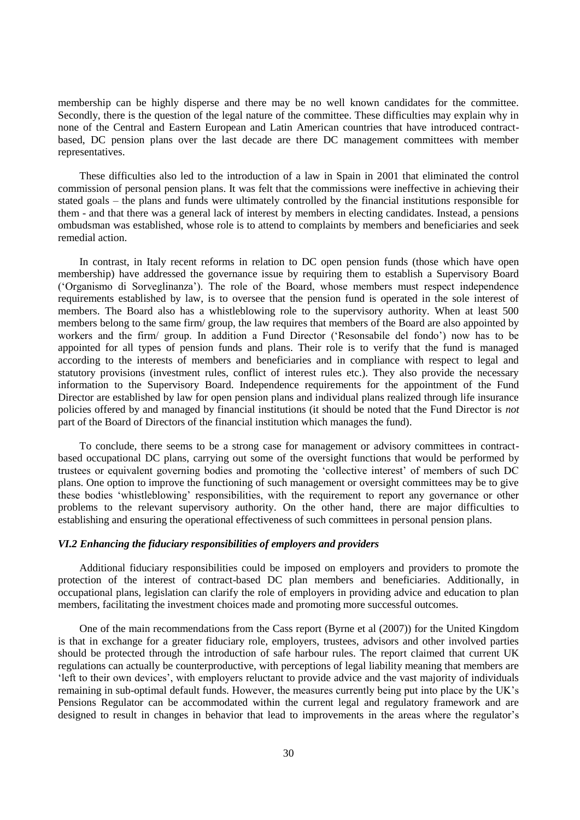membership can be highly disperse and there may be no well known candidates for the committee. Secondly, there is the question of the legal nature of the committee. These difficulties may explain why in none of the Central and Eastern European and Latin American countries that have introduced contractbased, DC pension plans over the last decade are there DC management committees with member representatives.

These difficulties also led to the introduction of a law in Spain in 2001 that eliminated the control commission of personal pension plans. It was felt that the commissions were ineffective in achieving their stated goals – the plans and funds were ultimately controlled by the financial institutions responsible for them - and that there was a general lack of interest by members in electing candidates. Instead, a pensions ombudsman was established, whose role is to attend to complaints by members and beneficiaries and seek remedial action.

In contrast, in Italy recent reforms in relation to DC open pension funds (those which have open membership) have addressed the governance issue by requiring them to establish a Supervisory Board (‗Organismo di Sorveglinanza'). The role of the Board, whose members must respect independence requirements established by law, is to oversee that the pension fund is operated in the sole interest of members. The Board also has a whistleblowing role to the supervisory authority. When at least 500 members belong to the same firm/ group, the law requires that members of the Board are also appointed by workers and the firm/ group. In addition a Fund Director ('Resonsabile del fondo') now has to be appointed for all types of pension funds and plans. Their role is to verify that the fund is managed according to the interests of members and beneficiaries and in compliance with respect to legal and statutory provisions (investment rules, conflict of interest rules etc.). They also provide the necessary information to the Supervisory Board. Independence requirements for the appointment of the Fund Director are established by law for open pension plans and individual plans realized through life insurance policies offered by and managed by financial institutions (it should be noted that the Fund Director is *not* part of the Board of Directors of the financial institution which manages the fund).

To conclude, there seems to be a strong case for management or advisory committees in contractbased occupational DC plans, carrying out some of the oversight functions that would be performed by trustees or equivalent governing bodies and promoting the ‗collective interest' of members of such DC plans. One option to improve the functioning of such management or oversight committees may be to give these bodies ‗whistleblowing' responsibilities, with the requirement to report any governance or other problems to the relevant supervisory authority. On the other hand, there are major difficulties to establishing and ensuring the operational effectiveness of such committees in personal pension plans.

# *VI.2 Enhancing the fiduciary responsibilities of employers and providers*

Additional fiduciary responsibilities could be imposed on employers and providers to promote the protection of the interest of contract-based DC plan members and beneficiaries. Additionally, in occupational plans, legislation can clarify the role of employers in providing advice and education to plan members, facilitating the investment choices made and promoting more successful outcomes.

One of the main recommendations from the Cass report (Byrne et al (2007)) for the United Kingdom is that in exchange for a greater fiduciary role, employers, trustees, advisors and other involved parties should be protected through the introduction of safe harbour rules. The report claimed that current UK regulations can actually be counterproductive, with perceptions of legal liability meaning that members are ‗left to their own devices', with employers reluctant to provide advice and the vast majority of individuals remaining in sub-optimal default funds. However, the measures currently being put into place by the UK's Pensions Regulator can be accommodated within the current legal and regulatory framework and are designed to result in changes in behavior that lead to improvements in the areas where the regulator's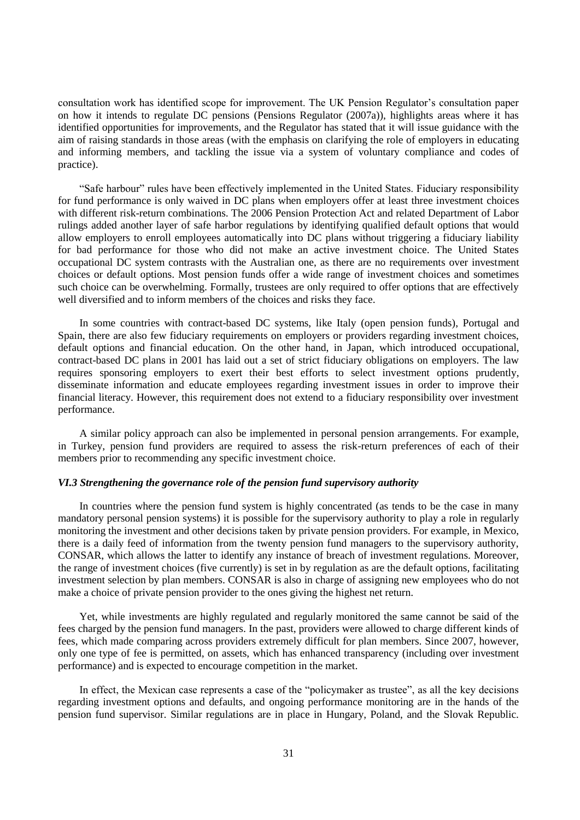consultation work has identified scope for improvement. The UK Pension Regulator's consultation paper on how it intends to regulate DC pensions (Pensions Regulator (2007a)), highlights areas where it has identified opportunities for improvements, and the Regulator has stated that it will issue guidance with the aim of raising standards in those areas (with the emphasis on clarifying the role of employers in educating and informing members, and tackling the issue via a system of voluntary compliance and codes of practice).

―Safe harbour‖ rules have been effectively implemented in the United States. Fiduciary responsibility for fund performance is only waived in DC plans when employers offer at least three investment choices with different risk-return combinations. The 2006 Pension Protection Act and related Department of Labor rulings added another layer of safe harbor regulations by identifying qualified default options that would allow employers to enroll employees automatically into DC plans without triggering a fiduciary liability for bad performance for those who did not make an active investment choice. The United States occupational DC system contrasts with the Australian one, as there are no requirements over investment choices or default options. Most pension funds offer a wide range of investment choices and sometimes such choice can be overwhelming. Formally, trustees are only required to offer options that are effectively well diversified and to inform members of the choices and risks they face.

In some countries with contract-based DC systems, like Italy (open pension funds), Portugal and Spain, there are also few fiduciary requirements on employers or providers regarding investment choices, default options and financial education. On the other hand, in Japan, which introduced occupational, contract-based DC plans in 2001 has laid out a set of strict fiduciary obligations on employers. The law requires sponsoring employers to exert their best efforts to select investment options prudently, disseminate information and educate employees regarding investment issues in order to improve their financial literacy. However, this requirement does not extend to a fiduciary responsibility over investment performance.

A similar policy approach can also be implemented in personal pension arrangements. For example, in Turkey, pension fund providers are required to assess the risk-return preferences of each of their members prior to recommending any specific investment choice.

#### *VI.3 Strengthening the governance role of the pension fund supervisory authority*

In countries where the pension fund system is highly concentrated (as tends to be the case in many mandatory personal pension systems) it is possible for the supervisory authority to play a role in regularly monitoring the investment and other decisions taken by private pension providers. For example, in Mexico, there is a daily feed of information from the twenty pension fund managers to the supervisory authority, CONSAR, which allows the latter to identify any instance of breach of investment regulations. Moreover, the range of investment choices (five currently) is set in by regulation as are the default options, facilitating investment selection by plan members. CONSAR is also in charge of assigning new employees who do not make a choice of private pension provider to the ones giving the highest net return.

Yet, while investments are highly regulated and regularly monitored the same cannot be said of the fees charged by the pension fund managers. In the past, providers were allowed to charge different kinds of fees, which made comparing across providers extremely difficult for plan members. Since 2007, however, only one type of fee is permitted, on assets, which has enhanced transparency (including over investment performance) and is expected to encourage competition in the market.

In effect, the Mexican case represents a case of the "policymaker as trustee", as all the key decisions regarding investment options and defaults, and ongoing performance monitoring are in the hands of the pension fund supervisor. Similar regulations are in place in Hungary, Poland, and the Slovak Republic.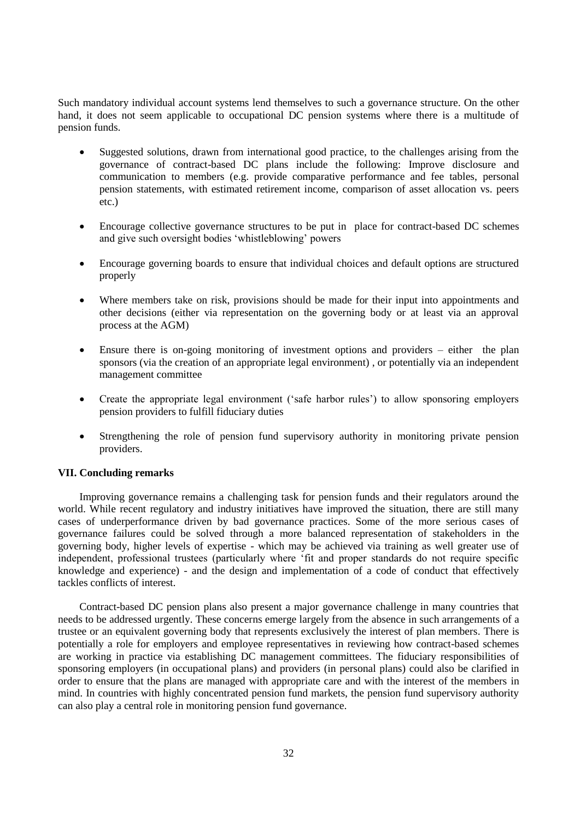Such mandatory individual account systems lend themselves to such a governance structure. On the other hand, it does not seem applicable to occupational DC pension systems where there is a multitude of pension funds.

- Suggested solutions, drawn from international good practice, to the challenges arising from the governance of contract-based DC plans include the following: Improve disclosure and communication to members (e.g. provide comparative performance and fee tables, personal pension statements, with estimated retirement income, comparison of asset allocation vs. peers etc.)
- Encourage collective governance structures to be put in place for contract-based DC schemes and give such oversight bodies 'whistleblowing' powers
- Encourage governing boards to ensure that individual choices and default options are structured properly
- Where members take on risk, provisions should be made for their input into appointments and other decisions (either via representation on the governing body or at least via an approval process at the AGM)
- Ensure there is on-going monitoring of investment options and providers either the plan sponsors (via the creation of an appropriate legal environment) , or potentially via an independent management committee
- Create the appropriate legal environment ('safe harbor rules') to allow sponsoring employers pension providers to fulfill fiduciary duties
- Strengthening the role of pension fund supervisory authority in monitoring private pension providers.

# **VII. Concluding remarks**

Improving governance remains a challenging task for pension funds and their regulators around the world. While recent regulatory and industry initiatives have improved the situation, there are still many cases of underperformance driven by bad governance practices. Some of the more serious cases of governance failures could be solved through a more balanced representation of stakeholders in the governing body, higher levels of expertise - which may be achieved via training as well greater use of independent, professional trustees (particularly where 'fit and proper standards do not require specific knowledge and experience) - and the design and implementation of a code of conduct that effectively tackles conflicts of interest.

Contract-based DC pension plans also present a major governance challenge in many countries that needs to be addressed urgently. These concerns emerge largely from the absence in such arrangements of a trustee or an equivalent governing body that represents exclusively the interest of plan members. There is potentially a role for employers and employee representatives in reviewing how contract-based schemes are working in practice via establishing DC management committees. The fiduciary responsibilities of sponsoring employers (in occupational plans) and providers (in personal plans) could also be clarified in order to ensure that the plans are managed with appropriate care and with the interest of the members in mind. In countries with highly concentrated pension fund markets, the pension fund supervisory authority can also play a central role in monitoring pension fund governance.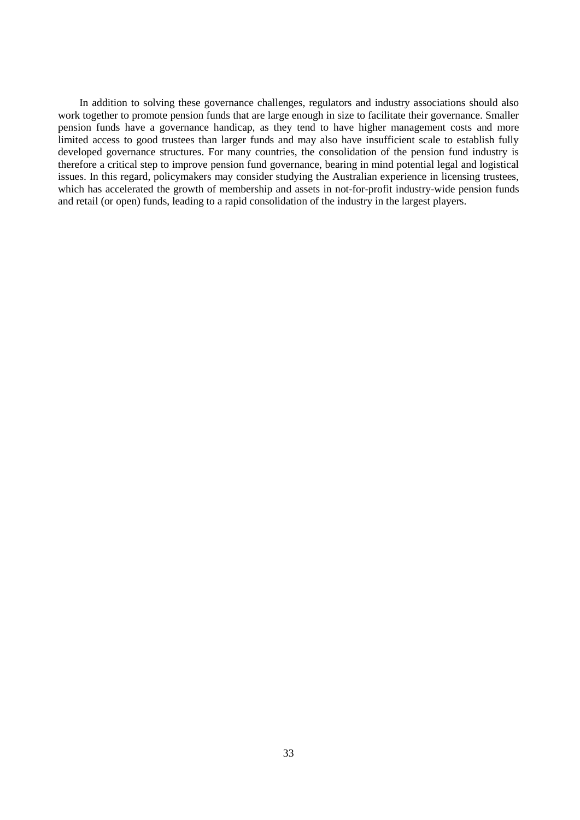In addition to solving these governance challenges, regulators and industry associations should also work together to promote pension funds that are large enough in size to facilitate their governance. Smaller pension funds have a governance handicap, as they tend to have higher management costs and more limited access to good trustees than larger funds and may also have insufficient scale to establish fully developed governance structures. For many countries, the consolidation of the pension fund industry is therefore a critical step to improve pension fund governance, bearing in mind potential legal and logistical issues. In this regard, policymakers may consider studying the Australian experience in licensing trustees, which has accelerated the growth of membership and assets in not-for-profit industry-wide pension funds and retail (or open) funds, leading to a rapid consolidation of the industry in the largest players.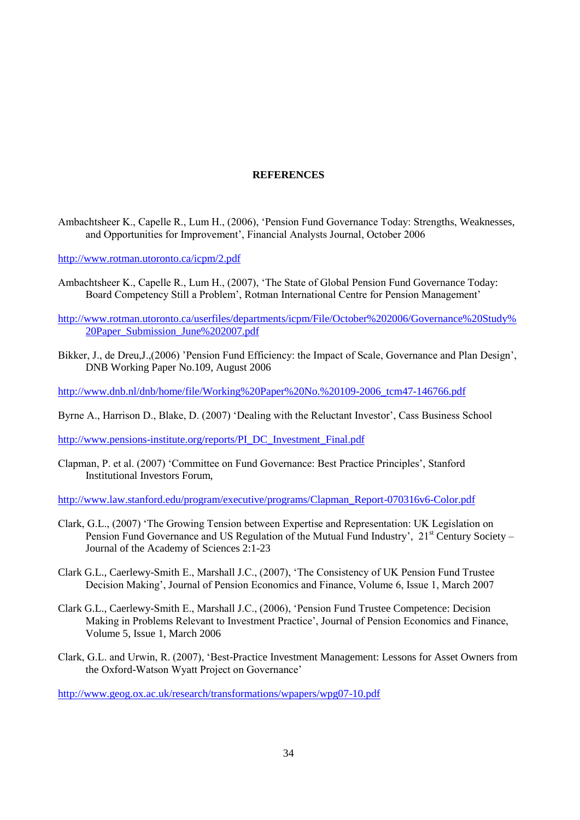# **REFERENCES**

Ambachtsheer K., Capelle R., Lum H., (2006), 'Pension Fund Governance Today: Strengths, Weaknesses, and Opportunities for Improvement', Financial Analysts Journal, October 2006

<http://www.rotman.utoronto.ca/icpm/2.pdf>

- Ambachtsheer K., Capelle R., Lum H., (2007), 'The State of Global Pension Fund Governance Today: Board Competency Still a Problem', Rotman International Centre for Pension Management'
- [http://www.rotman.utoronto.ca/userfiles/departments/icpm/File/October%202006/Governance%20Study%](http://www.rotman.utoronto.ca/userfiles/departments/icpm/File/October%202006/Governance%20Study%20Paper_Submission_June%202007.pdf) [20Paper\\_Submission\\_June%202007.pdf](http://www.rotman.utoronto.ca/userfiles/departments/icpm/File/October%202006/Governance%20Study%20Paper_Submission_June%202007.pdf)
- Bikker, J., de Dreu,J.,(2006) 'Pension Fund Efficiency: the Impact of Scale, Governance and Plan Design', DNB Working Paper No.109, August 2006

[http://www.dnb.nl/dnb/home/file/Working%20Paper%20No.%20109-2006\\_tcm47-146766.pdf](http://www.dnb.nl/dnb/home/file/Working%20Paper%20No.%20109-2006_tcm47-146766.pdf)

Byrne A., Harrison D., Blake, D. (2007) ‗Dealing with the Reluctant Investor', Cass Business School

[http://www.pensions-institute.org/reports/PI\\_DC\\_Investment\\_Final.pdf](http://www.pensions-institute.org/reports/PI_DC_Investment_Final.pdf)

Clapman, P. et al. (2007) ‗Committee on Fund Governance: Best Practice Principles', Stanford Institutional Investors Forum,

[http://www.law.stanford.edu/program/executive/programs/Clapman\\_Report-070316v6-Color.pdf](http://www.law.stanford.edu/program/executive/programs/Clapman_Report-070316v6-Color.pdf)

- Clark, G.L., (2007) ‗The Growing Tension between Expertise and Representation: UK Legislation on Pension Fund Governance and US Regulation of the Mutual Fund Industry',  $21^{st}$  Century Society – Journal of the Academy of Sciences 2:1-23
- Clark G.L., Caerlewy-Smith E., Marshall J.C., (2007), ‗The Consistency of UK Pension Fund Trustee Decision Making', Journal of Pension Economics and Finance, Volume 6, Issue 1, March 2007
- Clark G.L., Caerlewy-Smith E., Marshall J.C., (2006), ‗Pension Fund Trustee Competence: Decision Making in Problems Relevant to Investment Practice', Journal of Pension Economics and Finance, Volume 5, Issue 1, March 2006
- Clark, G.L. and Urwin, R. (2007), 'Best-Practice Investment Management: Lessons for Asset Owners from the Oxford-Watson Wyatt Project on Governance'

<http://www.geog.ox.ac.uk/research/transformations/wpapers/wpg07-10.pdf>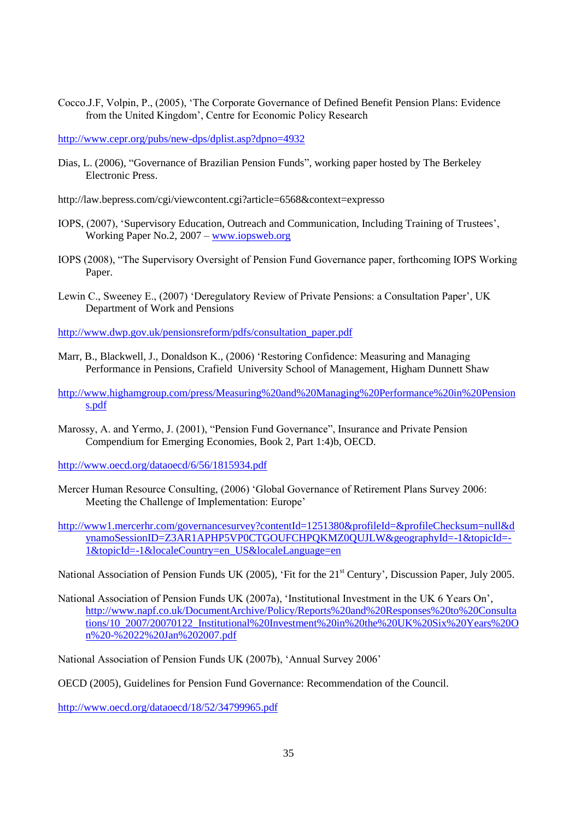Cocco.J.F, Volpin, P., (2005), ‗The Corporate Governance of Defined Benefit Pension Plans: Evidence from the United Kingdom', Centre for Economic Policy Research

<http://www.cepr.org/pubs/new-dps/dplist.asp?dpno=4932>

- Dias, L. (2006), "Governance of Brazilian Pension Funds", working paper hosted by The Berkeley Electronic Press.
- http://law.bepress.com/cgi/viewcontent.cgi?article=6568&context=expresso
- IOPS, (2007), ‗Supervisory Education, Outreach and Communication, Including Training of Trustees', Working Paper No.2, 2007 – [www.iopsweb.org](http://www.iopsweb.org/)
- IOPS (2008), "The Supervisory Oversight of Pension Fund Governance paper, forthcoming IOPS Working Paper.
- Lewin C., Sweeney E., (2007) 'Deregulatory Review of Private Pensions: a Consultation Paper', UK Department of Work and Pensions

[http://www.dwp.gov.uk/pensionsreform/pdfs/consultation\\_paper.pdf](http://www.dwp.gov.uk/pensionsreform/pdfs/consultation_paper.pdf)

- Marr, B., Blackwell, J., Donaldson K., (2006) 'Restoring Confidence: Measuring and Managing Performance in Pensions, Crafield University School of Management, Higham Dunnett Shaw
- [http://www.highamgroup.com/press/Measuring%20and%20Managing%20Performance%20in%20Pension](http://www.highamgroup.com/press/Measuring%20and%20Managing%20Performance%20in%20Pensions.pdf) [s.pdf](http://www.highamgroup.com/press/Measuring%20and%20Managing%20Performance%20in%20Pensions.pdf)
- Marossy, A. and Yermo, J. (2001), "Pension Fund Governance", Insurance and Private Pension Compendium for Emerging Economies, Book 2, Part 1:4)b, OECD.

<http://www.oecd.org/dataoecd/6/56/1815934.pdf>

- Mercer Human Resource Consulting, (2006) ‗Global Governance of Retirement Plans Survey 2006: Meeting the Challenge of Implementation: Europe'
- [http://www1.mercerhr.com/governancesurvey?contentId=1251380&profileId=&profileChecksum=null&d](http://www1.mercerhr.com/governancesurvey?contentId=1251380&profileId=&profileChecksum=null&dynamoSessionID=Z3AR1APHP5VP0CTGOUFCHPQKMZ0QUJLW&geographyId=-1&topicId=-1&topicId=-1&localeCountry=en_US&localeLanguage=en) [ynamoSessionID=Z3AR1APHP5VP0CTGOUFCHPQKMZ0QUJLW&geographyId=-1&topicId=-](http://www1.mercerhr.com/governancesurvey?contentId=1251380&profileId=&profileChecksum=null&dynamoSessionID=Z3AR1APHP5VP0CTGOUFCHPQKMZ0QUJLW&geographyId=-1&topicId=-1&topicId=-1&localeCountry=en_US&localeLanguage=en) [1&topicId=-1&localeCountry=en\\_US&localeLanguage=en](http://www1.mercerhr.com/governancesurvey?contentId=1251380&profileId=&profileChecksum=null&dynamoSessionID=Z3AR1APHP5VP0CTGOUFCHPQKMZ0QUJLW&geographyId=-1&topicId=-1&topicId=-1&localeCountry=en_US&localeLanguage=en)
- National Association of Pension Funds UK (2005), 'Fit for the 21<sup>st</sup> Century', Discussion Paper, July 2005.
- National Association of Pension Funds UK (2007a), 'Institutional Investment in the UK 6 Years On', [http://www.napf.co.uk/DocumentArchive/Policy/Reports%20and%20Responses%20to%20Consulta](http://www.napf.co.uk/DocumentArchive/Policy/Reports%20and%20Responses%20to%20Consultations/10_2007/20070122_Institutional%20Investment%20in%20the%20UK%20Six%20Years%20On%20-%2022%20Jan%202007.pdf) [tions/10\\_2007/20070122\\_Institutional%20Investment%20in%20the%20UK%20Six%20Years%20O](http://www.napf.co.uk/DocumentArchive/Policy/Reports%20and%20Responses%20to%20Consultations/10_2007/20070122_Institutional%20Investment%20in%20the%20UK%20Six%20Years%20On%20-%2022%20Jan%202007.pdf) [n%20-%2022%20Jan%202007.pdf](http://www.napf.co.uk/DocumentArchive/Policy/Reports%20and%20Responses%20to%20Consultations/10_2007/20070122_Institutional%20Investment%20in%20the%20UK%20Six%20Years%20On%20-%2022%20Jan%202007.pdf)

National Association of Pension Funds UK (2007b), ‗Annual Survey 2006'

OECD (2005), Guidelines for Pension Fund Governance: Recommendation of the Council.

<http://www.oecd.org/dataoecd/18/52/34799965.pdf>